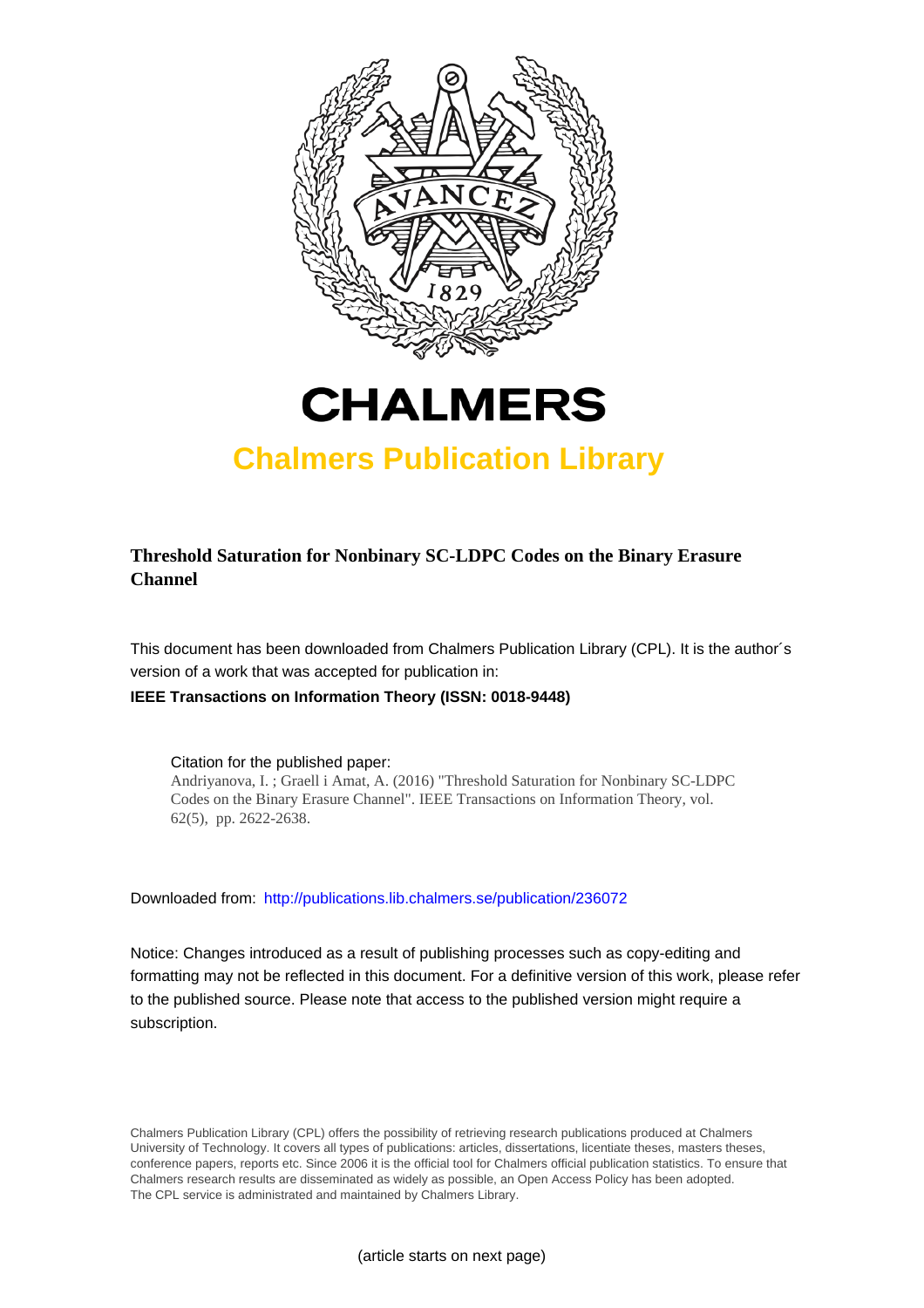



## **Chalmers Publication Library**

## **Threshold Saturation for Nonbinary SC-LDPC Codes on the Binary Erasure Channel**

This document has been downloaded from Chalmers Publication Library (CPL). It is the author´s version of a work that was accepted for publication in:

#### **IEEE Transactions on Information Theory (ISSN: 0018-9448)**

Citation for the published paper: Andriyanova, I. ; Graell i Amat, A. (2016) "Threshold Saturation for Nonbinary SC-LDPC Codes on the Binary Erasure Channel". IEEE Transactions on Information Theory, vol. 62(5), pp. 2622-2638.

Downloaded from: <http://publications.lib.chalmers.se/publication/236072>

Notice: Changes introduced as a result of publishing processes such as copy-editing and formatting may not be reflected in this document. For a definitive version of this work, please refer to the published source. Please note that access to the published version might require a subscription.

Chalmers Publication Library (CPL) offers the possibility of retrieving research publications produced at Chalmers University of Technology. It covers all types of publications: articles, dissertations, licentiate theses, masters theses, conference papers, reports etc. Since 2006 it is the official tool for Chalmers official publication statistics. To ensure that Chalmers research results are disseminated as widely as possible, an Open Access Policy has been adopted. The CPL service is administrated and maintained by Chalmers Library.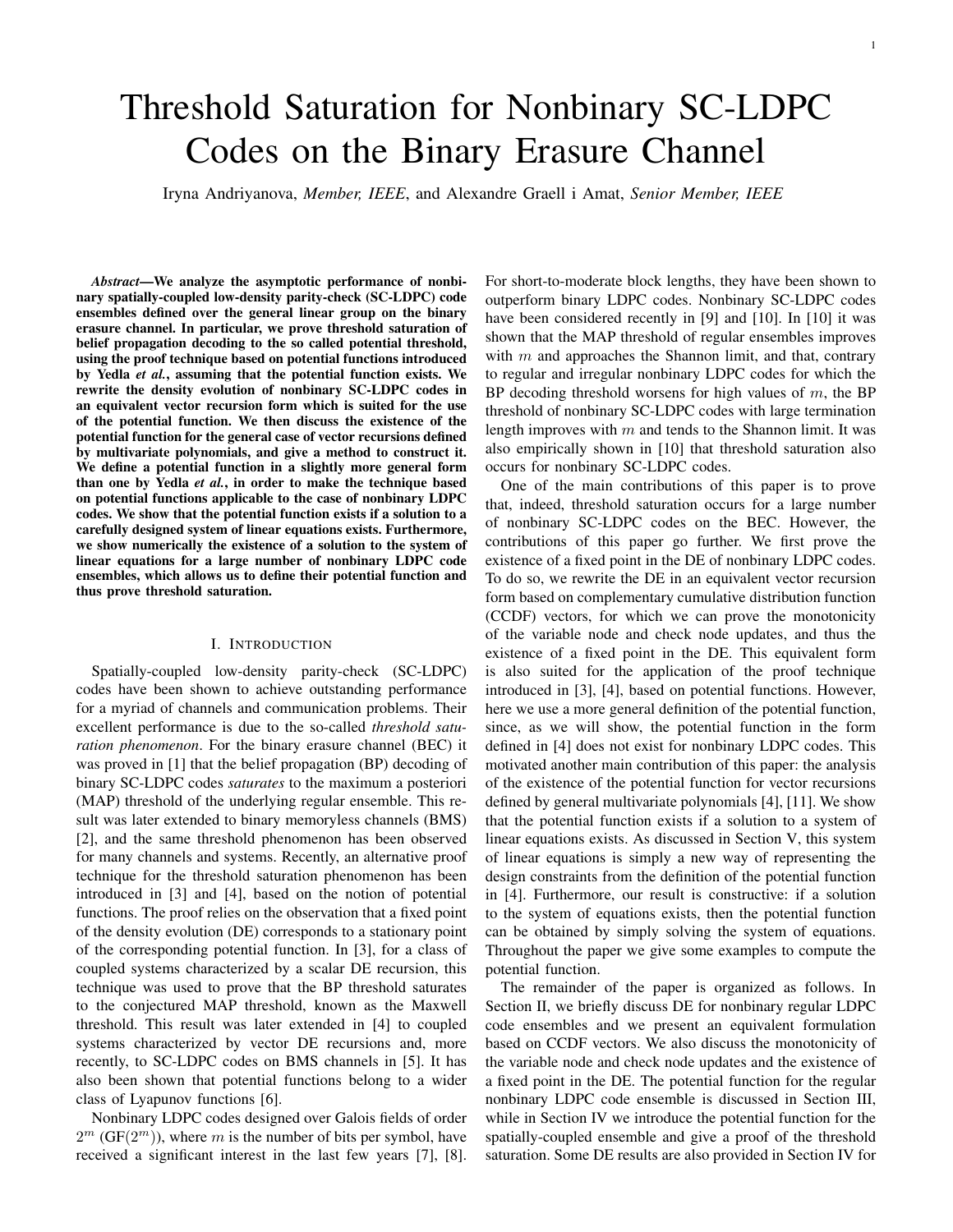# Threshold Saturation for Nonbinary SC-LDPC Codes on the Binary Erasure Channel

Iryna Andriyanova, *Member, IEEE*, and Alexandre Graell i Amat, *Senior Member, IEEE*

*Abstract*—We analyze the asymptotic performance of nonbinary spatially-coupled low-density parity-check (SC-LDPC) code ensembles defined over the general linear group on the binary erasure channel. In particular, we prove threshold saturation of belief propagation decoding to the so called potential threshold, using the proof technique based on potential functions introduced by Yedla *et al.*, assuming that the potential function exists. We rewrite the density evolution of nonbinary SC-LDPC codes in an equivalent vector recursion form which is suited for the use of the potential function. We then discuss the existence of the potential function for the general case of vector recursions defined by multivariate polynomials, and give a method to construct it. We define a potential function in a slightly more general form than one by Yedla *et al.*, in order to make the technique based on potential functions applicable to the case of nonbinary LDPC codes. We show that the potential function exists if a solution to a carefully designed system of linear equations exists. Furthermore, we show numerically the existence of a solution to the system of linear equations for a large number of nonbinary LDPC code ensembles, which allows us to define their potential function and thus prove threshold saturation.

#### I. INTRODUCTION

Spatially-coupled low-density parity-check (SC-LDPC) codes have been shown to achieve outstanding performance for a myriad of channels and communication problems. Their excellent performance is due to the so-called *threshold saturation phenomenon*. For the binary erasure channel (BEC) it was proved in [1] that the belief propagation (BP) decoding of binary SC-LDPC codes *saturates* to the maximum a posteriori (MAP) threshold of the underlying regular ensemble. This result was later extended to binary memoryless channels (BMS) [2], and the same threshold phenomenon has been observed for many channels and systems. Recently, an alternative proof technique for the threshold saturation phenomenon has been introduced in [3] and [4], based on the notion of potential functions. The proof relies on the observation that a fixed point of the density evolution (DE) corresponds to a stationary point of the corresponding potential function. In [3], for a class of coupled systems characterized by a scalar DE recursion, this technique was used to prove that the BP threshold saturates to the conjectured MAP threshold, known as the Maxwell threshold. This result was later extended in [4] to coupled systems characterized by vector DE recursions and, more recently, to SC-LDPC codes on BMS channels in [5]. It has also been shown that potential functions belong to a wider class of Lyapunov functions [6].

Nonbinary LDPC codes designed over Galois fields of order  $2^m$  (GF( $2^m$ )), where m is the number of bits per symbol, have received a significant interest in the last few years [7], [8]. For short-to-moderate block lengths, they have been shown to outperform binary LDPC codes. Nonbinary SC-LDPC codes have been considered recently in [9] and [10]. In [10] it was shown that the MAP threshold of regular ensembles improves with  $m$  and approaches the Shannon limit, and that, contrary to regular and irregular nonbinary LDPC codes for which the BP decoding threshold worsens for high values of  $m$ , the BP threshold of nonbinary SC-LDPC codes with large termination length improves with  $m$  and tends to the Shannon limit. It was also empirically shown in [10] that threshold saturation also occurs for nonbinary SC-LDPC codes.

One of the main contributions of this paper is to prove that, indeed, threshold saturation occurs for a large number of nonbinary SC-LDPC codes on the BEC. However, the contributions of this paper go further. We first prove the existence of a fixed point in the DE of nonbinary LDPC codes. To do so, we rewrite the DE in an equivalent vector recursion form based on complementary cumulative distribution function (CCDF) vectors, for which we can prove the monotonicity of the variable node and check node updates, and thus the existence of a fixed point in the DE. This equivalent form is also suited for the application of the proof technique introduced in [3], [4], based on potential functions. However, here we use a more general definition of the potential function, since, as we will show, the potential function in the form defined in [4] does not exist for nonbinary LDPC codes. This motivated another main contribution of this paper: the analysis of the existence of the potential function for vector recursions defined by general multivariate polynomials [4], [11]. We show that the potential function exists if a solution to a system of linear equations exists. As discussed in Section V, this system of linear equations is simply a new way of representing the design constraints from the definition of the potential function in [4]. Furthermore, our result is constructive: if a solution to the system of equations exists, then the potential function can be obtained by simply solving the system of equations. Throughout the paper we give some examples to compute the potential function.

The remainder of the paper is organized as follows. In Section II, we briefly discuss DE for nonbinary regular LDPC code ensembles and we present an equivalent formulation based on CCDF vectors. We also discuss the monotonicity of the variable node and check node updates and the existence of a fixed point in the DE. The potential function for the regular nonbinary LDPC code ensemble is discussed in Section III, while in Section IV we introduce the potential function for the spatially-coupled ensemble and give a proof of the threshold saturation. Some DE results are also provided in Section IV for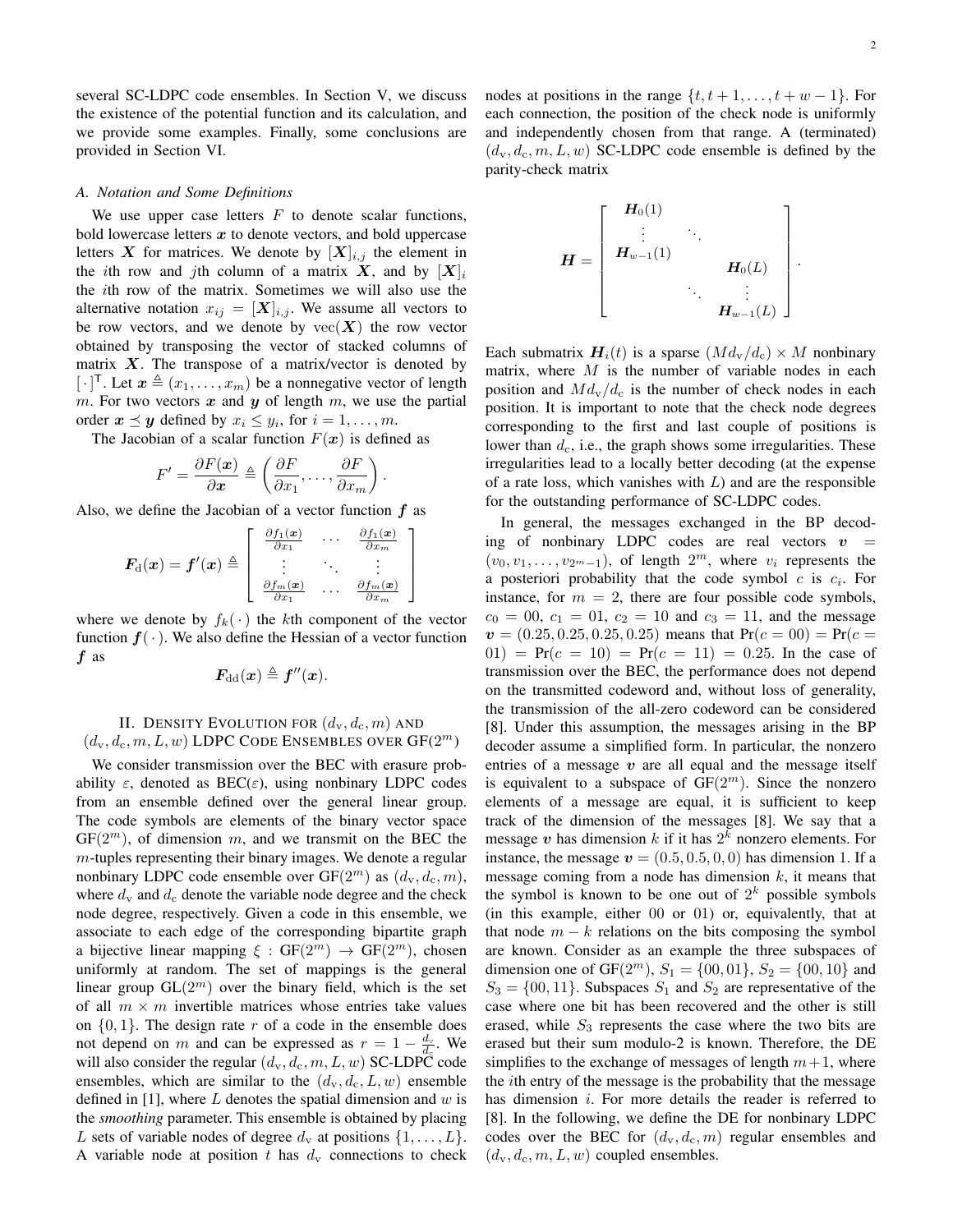.

several SC-LDPC code ensembles. In Section V, we discuss the existence of the potential function and its calculation, and we provide some examples. Finally, some conclusions are provided in Section VI.

#### *A. Notation and Some Definitions*

We use upper case letters  $F$  to denote scalar functions, bold lowercase letters  $x$  to denote vectors, and bold uppercase letters X for matrices. We denote by  $[X]_{i,j}$  the element in the *i*th row and *j*th column of a matrix X, and by  $[X]_i$ the ith row of the matrix. Sometimes we will also use the alternative notation  $x_{ij} = [\mathbf{X}]_{i,j}$ . We assume all vectors to be row vectors, and we denote by  $\text{vec}(\boldsymbol{X})$  the row vector obtained by transposing the vector of stacked columns of matrix  $X$ . The transpose of a matrix/vector is denoted by  $[\cdot]^{T}$ . Let  $\boldsymbol{x} \triangleq (x_1, \ldots, x_m)$  be a nonnegative vector of length m. For two vectors  $x$  and  $y$  of length  $m$ , we use the partial order  $x \preceq y$  defined by  $x_i \leq y_i$ , for  $i = 1, \ldots, m$ .

The Jacobian of a scalar function  $F(x)$  is defined as

$$
F' = \frac{\partial F(\boldsymbol{x})}{\partial \boldsymbol{x}} \triangleq \left(\frac{\partial F}{\partial x_1}, \dots, \frac{\partial F}{\partial x_m}\right)
$$

.

Also, we define the Jacobian of a vector function  $f$  as

$$
\boldsymbol{F}_{\mathrm{d}}(\boldsymbol{x}) = \boldsymbol{f}'(\boldsymbol{x}) \triangleq \left[ \begin{array}{ccc} \frac{\partial f_1(\boldsymbol{x})}{\partial x_1} & \cdots & \frac{\partial f_1(\boldsymbol{x})}{\partial x_m} \\ \vdots & \ddots & \vdots \\ \frac{\partial f_m(\boldsymbol{x})}{\partial x_1} & \cdots & \frac{\partial f_m(\boldsymbol{x})}{\partial x_m} \end{array} \right]
$$

where we denote by  $f_k(\cdot)$  the kth component of the vector function  $f(\cdot)$ . We also define the Hessian of a vector function f as

$$
\boldsymbol{F_{\text{dd}}}(\boldsymbol{x}) \triangleq \boldsymbol{f}''(\boldsymbol{x}).
$$

#### II. DENSITY EVOLUTION FOR  $(d_v, d_c, m)$  AND  $(d_{\mathrm{v}}, d_{\mathrm{c}}, m, L, w)$  LDPC CODE ENSEMBLES OVER  $\mathrm{GF}(2^m)$

We consider transmission over the BEC with erasure probability  $\varepsilon$ , denoted as BEC( $\varepsilon$ ), using nonbinary LDPC codes from an ensemble defined over the general linear group. The code symbols are elements of the binary vector space  $GF(2<sup>m</sup>)$ , of dimension m, and we transmit on the BEC the  $m$ -tuples representing their binary images. We denote a regular nonbinary LDPC code ensemble over  $GF(2^m)$  as  $(d_v, d_c, m)$ , where  $d_v$  and  $d_c$  denote the variable node degree and the check node degree, respectively. Given a code in this ensemble, we associate to each edge of the corresponding bipartite graph a bijective linear mapping  $\xi : GF(2^m) \rightarrow GF(2^m)$ , chosen uniformly at random. The set of mappings is the general linear group  $GL(2^m)$  over the binary field, which is the set of all  $m \times m$  invertible matrices whose entries take values on  $\{0, 1\}$ . The design rate r of a code in the ensemble does not depend on m and can be expressed as  $r = 1 - \frac{d_v}{d_c}$ . We will also consider the regular  $(d_v, d_c, m, L, w)$  SC-LDPC code ensembles, which are similar to the  $(d_v, d_c, L, w)$  ensemble defined in [1], where L denotes the spatial dimension and  $w$  is the *smoothing* parameter. This ensemble is obtained by placing L sets of variable nodes of degree  $d_v$  at positions  $\{1, \ldots, L\}$ . A variable node at position t has  $d_v$  connections to check nodes at positions in the range  $\{t, t+1, \ldots, t+w-1\}$ . For each connection, the position of the check node is uniformly and independently chosen from that range. A (terminated)  $(d_v, d_c, m, L, w)$  SC-LDPC code ensemble is defined by the parity-check matrix

$$
\bm{H} = \left[ \begin{array}{ccc} \bm{H}_0(1) & & & \\ \vdots & \ddots & & \\ \bm{H}_{w-1}(1) & & & \\ & \ddots & & \vdots \\ & & \bm{H}_{w-1}(L) \end{array} \right]
$$

Each submatrix  $H_i(t)$  is a sparse  $(M d_v/d_c) \times M$  nonbinary matrix, where  $M$  is the number of variable nodes in each position and  $Md_{\rm v}/d_{\rm c}$  is the number of check nodes in each position. It is important to note that the check node degrees corresponding to the first and last couple of positions is lower than  $d_c$ , i.e., the graph shows some irregularities. These irregularities lead to a locally better decoding (at the expense of a rate loss, which vanishes with  $L$ ) and are the responsible for the outstanding performance of SC-LDPC codes.

In general, the messages exchanged in the BP decoding of nonbinary LDPC codes are real vectors  $v =$  $(v_0, v_1, \ldots, v_{2^m-1})$ , of length  $2^m$ , where  $v_i$  represents the a posteriori probability that the code symbol  $c$  is  $c_i$ . For instance, for  $m = 2$ , there are four possible code symbols,  $c_0 = 00$ ,  $c_1 = 01$ ,  $c_2 = 10$  and  $c_3 = 11$ , and the message  $v = (0.25, 0.25, 0.25, 0.25)$  means that  $Pr(c = 00) = Pr(c = 1)$  $(01)$  = Pr( $c = 10$ ) = Pr( $c = 11$ ) = 0.25. In the case of transmission over the BEC, the performance does not depend on the transmitted codeword and, without loss of generality, the transmission of the all-zero codeword can be considered [8]. Under this assumption, the messages arising in the BP decoder assume a simplified form. In particular, the nonzero entries of a message  $v$  are all equal and the message itself is equivalent to a subspace of  $GF(2<sup>m</sup>)$ . Since the nonzero elements of a message are equal, it is sufficient to keep track of the dimension of the messages [8]. We say that a message  $v$  has dimension  $k$  if it has  $2^k$  nonzero elements. For instance, the message  $v = (0.5, 0.5, 0, 0)$  has dimension 1. If a message coming from a node has dimension  $k$ , it means that the symbol is known to be one out of  $2^k$  possible symbols (in this example, either 00 or 01) or, equivalently, that at that node  $m - k$  relations on the bits composing the symbol are known. Consider as an example the three subspaces of dimension one of GF( $2^m$ ),  $S_1 = \{00, 01\}$ ,  $S_2 = \{00, 10\}$  and  $S_3 = \{00, 11\}$ . Subspaces  $S_1$  and  $S_2$  are representative of the case where one bit has been recovered and the other is still erased, while  $S_3$  represents the case where the two bits are erased but their sum modulo-2 is known. Therefore, the DE simplifies to the exchange of messages of length  $m+1$ , where the ith entry of the message is the probability that the message has dimension *i*. For more details the reader is referred to [8]. In the following, we define the DE for nonbinary LDPC codes over the BEC for  $(d_v, d_c, m)$  regular ensembles and  $(d_v, d_c, m, L, w)$  coupled ensembles.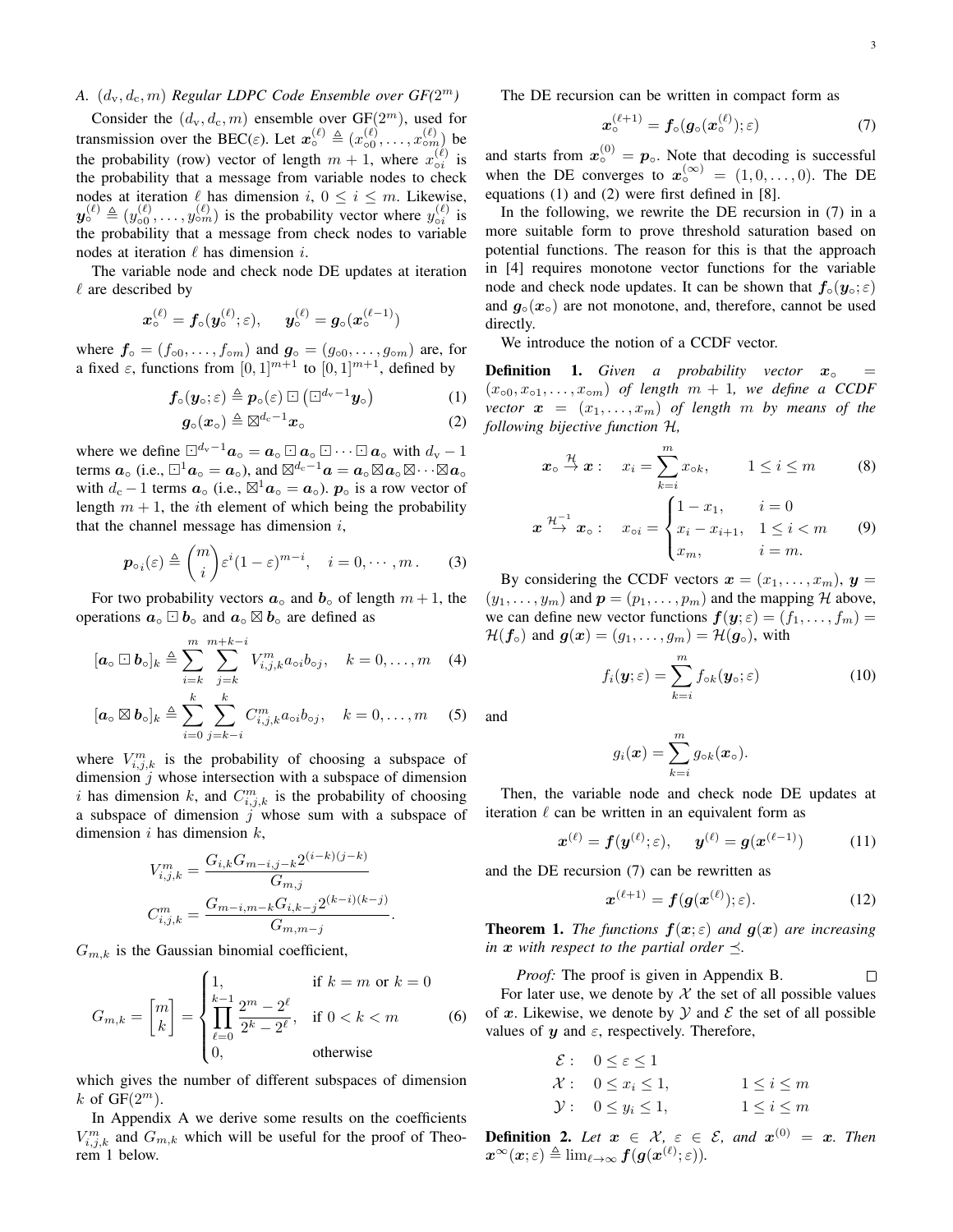#### A.  $(d_v, d_c, m)$  *Regular LDPC Code Ensemble over*  $GF(2^m)$

Consider the  $(d_v, d_c, m)$  ensemble over  $GF(2^m)$ , used for transmission over the BEC( $\varepsilon$ ). Let  $\mathbf{x}_{\circ}^{(\ell)} \triangleq (x_{\circ 0}^{(\ell)}, \ldots, x_{\circ m_{\ell}}^{(\ell)})$  be the probability (row) vector of length  $m + 1$ , where  $x_{oi}^{(\ell)}$  is the probability that a message from variable nodes to check nodes at iteration  $\ell$  has dimension  $i, 0 \le i \le m$ . Likewise,  $y_{\circ}^{(\ell)} \triangleq (y_{\circ 0}^{(\ell)}, \dots, y_{\circ m}^{(\ell)})$  is the probability vector where  $y_{\circ i}^{(\ell)}$  is the probability that a message from check nodes to variable nodes at iteration  $\ell$  has dimension i.

The variable node and check node DE updates at iteration  $\ell$  are described by

$$
\boldsymbol{x}_{\circ}^{(\ell)} = \boldsymbol{f}_{\circ}(\boldsymbol{y}_{\circ}^{(\ell)}; \varepsilon), \quad \boldsymbol{y}_{\circ}^{(\ell)} = \boldsymbol{g}_{\circ}(\boldsymbol{x}_{\circ}^{(\ell-1)})
$$

where  $f \circ (f \circ 0, \ldots, f \circ m)$  and  $g \circ (g \circ 0, \ldots, g \circ m)$  are, for a fixed  $\varepsilon$ , functions from  $[0, 1]^{m+1}$  to  $[0, 1]^{m+1}$ , defined by

$$
\boldsymbol{f}_{\circ}(\boldsymbol{y}_{\circ};\varepsilon) \triangleq \boldsymbol{p}_{\circ}(\varepsilon) \boxdot (\Box^{d_{\rm v}-1}\boldsymbol{y}_{\circ}) \tag{1}
$$

$$
\boldsymbol{g}_{\circ}(\boldsymbol{x}_{\circ}) \triangleq \boxtimes^{d_{c}-1} \boldsymbol{x}_{\circ} \tag{2}
$$

where we define  $\Box^{d_v-1}a_\circ = a_\circ \Box a_\circ \Box \cdots \Box a_\circ$  with  $d_v - 1$ terms  $a_0$  (i.e.,  $\boxdot^1 a_0 = a_0$ ), and  $\boxtimes^{d_c-1} a = a_0 \boxtimes a_0 \boxtimes \cdots \boxtimes a_0$ with  $d_c - 1$  terms  $\boldsymbol{a}_\circ$  (i.e.,  $\boxtimes^1 \boldsymbol{a}_\circ = \boldsymbol{a}_\circ$ ).  $\boldsymbol{p}_\circ$  is a row vector of length  $m + 1$ , the *i*th element of which being the probability that the channel message has dimension  $i$ ,

$$
\boldsymbol{p}_{\circ i}(\varepsilon) \triangleq {m \choose i} \varepsilon^{i} (1-\varepsilon)^{m-i}, \quad i=0,\cdots,m. \tag{3}
$$

For two probability vectors  $a_0$  and  $b_0$  of length  $m + 1$ , the operations  $a_0 \Box b_0$  and  $a_0 \boxtimes b_0$  are defined as

$$
[\boldsymbol{a}_{\circ} \boxdot \boldsymbol{b}_{\circ}]_k \triangleq \sum_{i=k}^m \sum_{j=k}^{m+k-i} V_{i,j,k}^m a_{\circ i} b_{\circ j}, \quad k=0,\ldots,m \quad (4)
$$

$$
[\boldsymbol{a}_{\circ} \boxtimes \boldsymbol{b}_{\circ}]_k \triangleq \sum_{i=0}^k \sum_{j=k-i}^k C_{i,j,k}^m a_{\circ i} b_{\circ j}, \quad k=0,\ldots,m \quad (5)
$$

where  $V_{i,j,k}^m$  is the probability of choosing a subspace of dimension  $j$  whose intersection with a subspace of dimension i has dimension k, and  $C_{i,j,k}^m$  is the probability of choosing a subspace of dimension  $j$  whose sum with a subspace of dimension i has dimension  $k$ ,

$$
V_{i,j,k}^{m} = \frac{G_{i,k}G_{m-i,j-k}2^{(i-k)(j-k)}}{G_{m,j}}
$$

$$
C_{i,j,k}^{m} = \frac{G_{m-i,m-k}G_{i,k-j}2^{(k-i)(k-j)}}{G_{m,m-j}}.
$$

 $G_{m,k}$  is the Gaussian binomial coefficient,

$$
G_{m,k} = \begin{bmatrix} m \\ k \end{bmatrix} = \begin{cases} 1, & \text{if } k = m \text{ or } k = 0 \\ \prod_{\ell=0}^{k-1} \frac{2^m - 2^{\ell}}{2^k - 2^{\ell}}, & \text{if } 0 < k < m \\ 0, & \text{otherwise} \end{cases} \tag{6}
$$

which gives the number of different subspaces of dimension k of  $GF(2^m)$ .

In Appendix A we derive some results on the coefficients  $V_{i,j,k}^m$  and  $G_{m,k}$  which will be useful for the proof of Theorem 1 below.

The DE recursion can be written in compact form as

$$
\boldsymbol{x}_{\circ}^{(\ell+1)} = \boldsymbol{f}_{\circ}(\boldsymbol{g}_{\circ}(\boldsymbol{x}_{\circ}^{(\ell)}); \varepsilon) \tag{7}
$$

and starts from  $x_0^{(0)} = p_0$ . Note that decoding is successful when the DE converges to  $x_0^{(\infty)} = (1, 0, \ldots, 0)$ . The DE equations (1) and (2) were first defined in [8].

In the following, we rewrite the DE recursion in (7) in a more suitable form to prove threshold saturation based on potential functions. The reason for this is that the approach in [4] requires monotone vector functions for the variable node and check node updates. It can be shown that  $f_0(y_0; \varepsilon)$ and  $g_0(x_0)$  are not monotone, and, therefore, cannot be used directly.

We introduce the notion of a CCDF vector.

**Definition 1.** *Given a probability vector*  $x_0 =$  $(x<sub>o0</sub>, x<sub>o1</sub>, ..., x<sub>o</sub>)$  *of length*  $m + 1$ *, we define a CCDF vector*  $\boldsymbol{x} = (x_1, \ldots, x_m)$  *of length m by means of the following bijective function* H*,*

$$
\boldsymbol{x}_{\circ} \stackrel{\mathcal{H}}{\to} \boldsymbol{x} : \quad x_{i} = \sum_{k=i}^{m} x_{\circ k}, \qquad 1 \leq i \leq m \tag{8}
$$

$$
\boldsymbol{x} \stackrel{\mathcal{H}^{-1}}{\rightarrow} \boldsymbol{x}_{\circ} : \quad x_{\circ i} = \begin{cases} 1 - x_1, & i = 0 \\ x_i - x_{i+1}, & 1 \leq i < m \\ x_m, & i = m. \end{cases} \tag{9}
$$

By considering the CCDF vectors  $\mathbf{x} = (x_1, \dots, x_m), \mathbf{y} =$  $(y_1, \ldots, y_m)$  and  $p = (p_1, \ldots, p_m)$  and the mapping H above, we can define new vector functions  $f(y; \varepsilon) = (f_1, \dots, f_m)$  $\mathcal{H}(\bm{f}_{\circ})$  and  $\bm{g}(\bm{x}) = (g_1, \ldots, g_m) = \mathcal{H}(\bm{g}_{\circ}),$  with

$$
f_i(\mathbf{y};\varepsilon) = \sum_{k=i}^m f_{\circ k}(\mathbf{y}_{\circ};\varepsilon)
$$
 (10)

and

$$
g_i(\boldsymbol{x}) = \sum_{k=i}^m g_{\circ k}(\boldsymbol{x}_{\circ}).
$$

Then, the variable node and check node DE updates at iteration  $\ell$  can be written in an equivalent form as

$$
\boldsymbol{x}^{(\ell)} = \boldsymbol{f}(\boldsymbol{y}^{(\ell)}; \varepsilon), \quad \boldsymbol{y}^{(\ell)} = \boldsymbol{g}(\boldsymbol{x}^{(\ell-1)}) \tag{11}
$$

and the DE recursion (7) can be rewritten as

$$
\boldsymbol{x}^{(\ell+1)} = \boldsymbol{f}(\boldsymbol{g}(\boldsymbol{x}^{(\ell)}); \varepsilon). \tag{12}
$$

**Theorem 1.** *The functions*  $f(x; \varepsilon)$  *and*  $g(x)$  *are increasing in*  $x$  *with respect to the partial order*  $\preceq$ .

*Proof:* The proof is given in Appendix B. П For later use, we denote by  $X$  the set of all possible values of x. Likewise, we denote by  $\mathcal Y$  and  $\mathcal E$  the set of all possible values of  $y$  and  $\varepsilon$ , respectively. Therefore,

$$
\begin{aligned}\n\mathcal{E} &: \quad 0 \le \varepsilon \le 1 \\
\mathcal{X} &: \quad 0 \le x_i \le 1, \\
\mathcal{Y} &: \quad 0 \le y_i \le 1, \\
1 &= i \le m\n\end{aligned}
$$

**Definition 2.** Let  $x \in \mathcal{X}$ ,  $\varepsilon \in \mathcal{E}$ , and  $x^{(0)} = x$ . Then  $\boldsymbol{x}^{\infty}(\boldsymbol{x};\varepsilon) \triangleq \lim_{\ell \to \infty} \boldsymbol{f}(\boldsymbol{g}(\boldsymbol{x}^{(\ell)};\varepsilon)).$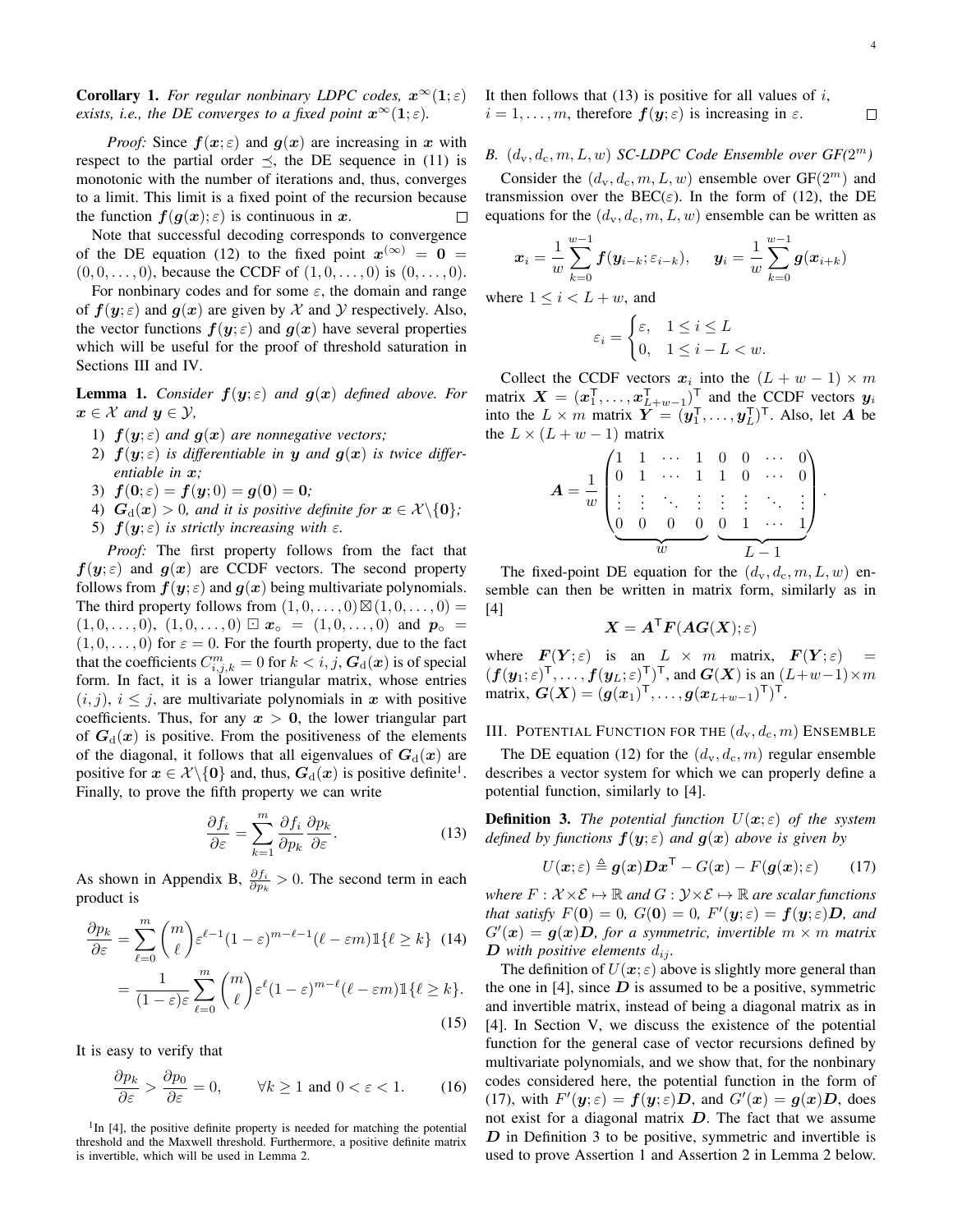**Corollary 1.** *For regular nonbinary LDPC codes,*  $x^{\infty}(1; \varepsilon)$ *exists, i.e., the DE converges to a fixed point*  $x^{\infty}(1;\epsilon)$ *.* 

*Proof:* Since  $f(x; \varepsilon)$  and  $g(x)$  are increasing in x with respect to the partial order  $\preceq$ , the DE sequence in (11) is monotonic with the number of iterations and, thus, converges to a limit. This limit is a fixed point of the recursion because the function  $f(q(x); \varepsilon)$  is continuous in x.  $\Box$ 

Note that successful decoding corresponds to convergence of the DE equation (12) to the fixed point  $x^{(\infty)} = 0$  $(0, 0, \ldots, 0)$ , because the CCDF of  $(1, 0, \ldots, 0)$  is  $(0, \ldots, 0)$ .

For nonbinary codes and for some  $\varepsilon$ , the domain and range of  $f(y; \varepsilon)$  and  $g(x)$  are given by X and Y respectively. Also, the vector functions  $f(y; \varepsilon)$  and  $g(x)$  have several properties which will be useful for the proof of threshold saturation in Sections III and IV.

**Lemma 1.** *Consider*  $f(y; \varepsilon)$  *and*  $g(x)$  *defined above. For*  $x \in \mathcal{X}$  and  $y \in \mathcal{Y}$ ,

- 1)  $f(y; \varepsilon)$  *and*  $g(x)$  *are nonnegative vectors;*
- 2)  $f(y; \varepsilon)$  *is differentiable in y and*  $g(x)$  *is twice differentiable in* x*;*
- 3)  $f(0; \varepsilon) = f(y; 0) = g(0) = 0;$
- 4)  $G_d(x) > 0$ , and it is positive definite for  $x \in \mathcal{X} \setminus \{0\}$ ;
- 5)  $f(y; \varepsilon)$  *is strictly increasing with*  $\varepsilon$ *.*

*Proof:* The first property follows from the fact that  $f(y; \varepsilon)$  and  $g(x)$  are CCDF vectors. The second property follows from  $f(y; \varepsilon)$  and  $g(x)$  being multivariate polynomials. The third property follows from  $(1, 0, \ldots, 0) \boxtimes (1, 0, \ldots, 0) =$  $(1, 0, \ldots, 0), (1, 0, \ldots, 0) \boxdot x_{\circ} = (1, 0, \ldots, 0)$  and  $p_{\circ} =$  $(1, 0, \ldots, 0)$  for  $\varepsilon = 0$ . For the fourth property, due to the fact that the coefficients  $C_{i,j,k}^m = 0$  for  $k < i, j, G_d(x)$  is of special form. In fact, it is a lower triangular matrix, whose entries  $(i, j)$ ,  $i \leq j$ , are multivariate polynomials in x with positive coefficients. Thus, for any  $x > 0$ , the lower triangular part of  $G_d(x)$  is positive. From the positiveness of the elements of the diagonal, it follows that all eigenvalues of  $G_d(x)$  are positive for  $x \in \mathcal{X} \setminus \{0\}$  and, thus,  $G_d(x)$  is positive definite<sup>1</sup>. Finally, to prove the fifth property we can write

$$
\frac{\partial f_i}{\partial \varepsilon} = \sum_{k=1}^{m} \frac{\partial f_i}{\partial p_k} \frac{\partial p_k}{\partial \varepsilon}.
$$
 (13)

As shown in Appendix B,  $\frac{\partial f_i}{\partial p_k} > 0$ . The second term in each product is

$$
\frac{\partial p_k}{\partial \varepsilon} = \sum_{\ell=0}^m \binom{m}{\ell} \varepsilon^{\ell-1} (1-\varepsilon)^{m-\ell-1} (\ell-\varepsilon m) \mathbb{1}\{\ell \ge k\} \tag{14}
$$

$$
= \frac{1}{(1-\varepsilon)\varepsilon} \sum_{\ell=0}^{m} {m \choose \ell} \varepsilon^{\ell} (1-\varepsilon)^{m-\ell} (\ell-\varepsilon m) \mathbb{1}\{\ell \ge k\}.
$$
\n(15)

It is easy to verify that

$$
\frac{\partial p_k}{\partial \varepsilon} > \frac{\partial p_0}{\partial \varepsilon} = 0, \qquad \forall k \ge 1 \text{ and } 0 < \varepsilon < 1. \tag{16}
$$

<sup>1</sup>In [4], the positive definite property is needed for matching the potential threshold and the Maxwell threshold. Furthermore, a positive definite matrix is invertible, which will be used in Lemma 2.

It then follows that  $(13)$  is positive for all values of i,  $i = 1, \ldots, m$ , therefore  $f(y; \varepsilon)$  is increasing in  $\varepsilon$ .  $\Box$ 

#### **B.**  $(d_v, d_c, m, L, w)$  **SC-LDPC Code Ensemble over**  $GF(2^m)$

Consider the  $(d_v, d_c, m, L, w)$  ensemble over  $GF(2^m)$  and transmission over the BEC( $\varepsilon$ ). In the form of (12), the DE equations for the  $(d_v, d_c, m, L, w)$  ensemble can be written as

$$
x_i = \frac{1}{w} \sum_{k=0}^{w-1} f(y_{i-k}; \varepsilon_{i-k}), \quad y_i = \frac{1}{w} \sum_{k=0}^{w-1} g(x_{i+k})
$$

where  $1 \leq i < L + w$ , and

$$
\varepsilon_i = \begin{cases} \varepsilon, & 1 \leq i \leq L \\ 0, & 1 \leq i - L < w. \end{cases}
$$

Collect the CCDF vectors  $x_i$  into the  $(L + w - 1) \times m$ matrix  $\mathbf{X} = (\mathbf{x}_1^{\mathsf{T}}, \dots, \mathbf{x}_{L+w-1}^{\mathsf{T}})^{\mathsf{T}}$  and the CCDF vectors  $\mathbf{y}_i$ into the  $L \times m$  matrix  $\boldsymbol{Y} = (\boldsymbol{y}_1^{\mathsf{T}}, \dots, \boldsymbol{y}_L^{\mathsf{T}})^{\mathsf{T}}$ . Also, let A be the  $L \times (L + w - 1)$  matrix

$$
A = \frac{1}{w} \begin{pmatrix} 1 & 1 & \cdots & 1 & 0 & 0 & \cdots & 0 \\ 0 & 1 & \cdots & 1 & 1 & 0 & \cdots & 0 \\ \vdots & \vdots & \ddots & \vdots & \vdots & \vdots & \ddots & \vdots \\ 0 & 0 & 0 & 0 & 0 & 1 & \cdots & 1 \\ w & w & & & L-1 \end{pmatrix}.
$$

The fixed-point DE equation for the  $(d_v, d_c, m, L, w)$  ensemble can then be written in matrix form, similarly as in [4]

$$
\boldsymbol{X} = \boldsymbol{A}^{\mathsf{T}} \boldsymbol{F}(\boldsymbol{A}\boldsymbol{G}(\boldsymbol{X});\varepsilon)
$$

where  $F(Y; \varepsilon)$  is an  $L \times m$  matrix,  $F(Y; \varepsilon)$  $(f(\bm{y}_1;\varepsilon)^\mathsf{T},\ldots,f(\bm{y}_L;\varepsilon)^\mathsf{T})^\mathsf{T}$ , and  $\bm{G}(\bm{X})$  is an  $(L+w-1)\times m$ matrix,  $G(X) = (g(x_1)^{\mathsf{T}}, \ldots, g(x_{L+w-1})^{\mathsf{T}})^{\mathsf{T}}$ .

III. POTENTIAL FUNCTION FOR THE  $(d_v, d_c, m)$  ENSEMBLE

The DE equation (12) for the  $(d_v, d_c, m)$  regular ensemble describes a vector system for which we can properly define a potential function, similarly to [4].

**Definition 3.** *The potential function*  $U(x;\varepsilon)$  *of the system defined by functions*  $f(y; \varepsilon)$  *and*  $g(x)$  *above is given by* 

$$
U(\boldsymbol{x};\varepsilon) \triangleq \boldsymbol{g}(\boldsymbol{x}) \boldsymbol{D} \boldsymbol{x}^{\mathsf{T}} - G(\boldsymbol{x}) - F(\boldsymbol{g}(\boldsymbol{x});\varepsilon) \qquad (17)
$$

*where*  $F: \mathcal{X} \times \mathcal{E} \mapsto \mathbb{R}$  *and*  $G: \mathcal{Y} \times \mathcal{E} \mapsto \mathbb{R}$  *are scalar functions that satisfy*  $F(\mathbf{0}) = 0$ ,  $G(\mathbf{0}) = 0$ ,  $F'(\mathbf{y}; \varepsilon) = \mathbf{f}(\mathbf{y}; \varepsilon) \mathbf{D}$ , and  $G'(\boldsymbol{x}) = \boldsymbol{g}(\boldsymbol{x})\boldsymbol{D}$ , for a symmetric, invertible  $m \times m$  matrix  $\boldsymbol{D}$  with positive elements  $d_{ij}$ .

The definition of  $U(x; \varepsilon)$  above is slightly more general than the one in [4], since  $D$  is assumed to be a positive, symmetric and invertible matrix, instead of being a diagonal matrix as in [4]. In Section V, we discuss the existence of the potential function for the general case of vector recursions defined by multivariate polynomials, and we show that, for the nonbinary codes considered here, the potential function in the form of (17), with  $F'(y; \varepsilon) = f(y; \varepsilon)D$ , and  $G'(x) = g(x)D$ , does not exist for a diagonal matrix  $D$ . The fact that we assume  $D$  in Definition 3 to be positive, symmetric and invertible is used to prove Assertion 1 and Assertion 2 in Lemma 2 below.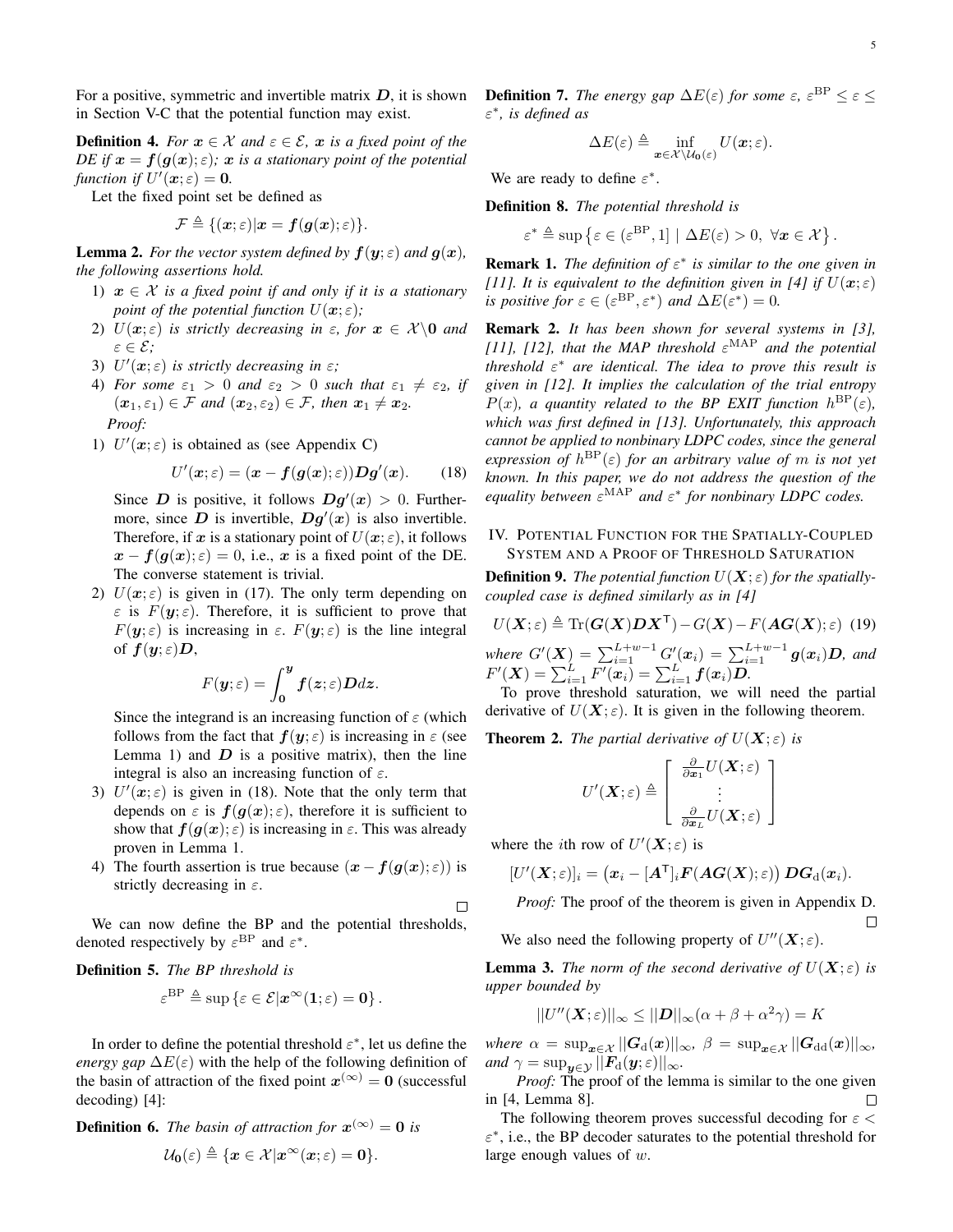For a positive, symmetric and invertible matrix  $D$ , it is shown in Section V-C that the potential function may exist.

**Definition 4.** *For*  $x \in \mathcal{X}$  *and*  $\varepsilon \in \mathcal{E}$ *,*  $x$  *is a fixed point of the DE* if  $x = f(g(x); \varepsilon)$ *;* x is a stationary point of the potential *function if*  $U'(x; \varepsilon) = 0$ .

Let the fixed point set be defined as

$$
\mathcal{F} \triangleq \{(\boldsymbol{x}; \varepsilon) | \boldsymbol{x} = \boldsymbol{f}(\boldsymbol{g}(\boldsymbol{x}); \varepsilon)\}.
$$

**Lemma 2.** *For the vector system defined by*  $f(y; \varepsilon)$  *and*  $g(x)$ *, the following assertions hold.*

- 1)  $x \in \mathcal{X}$  *is a fixed point if and only if it is a stationary point of the potential function*  $U(\mathbf{x}; \varepsilon)$ ;
- 2)  $U(x;\varepsilon)$  *is strictly decreasing in*  $\varepsilon$ *, for*  $x \in \mathcal{X}\backslash\mathbf{0}$  *and* ε ∈ E*;*
- 3)  $U'(\boldsymbol{x};\varepsilon)$  *is strictly decreasing in*  $\varepsilon$ *;*
- 4) *For some*  $\varepsilon_1 > 0$  *and*  $\varepsilon_2 > 0$  *such that*  $\varepsilon_1 \neq \varepsilon_2$ *, if*  $(x_1, \varepsilon_1) \in \mathcal{F}$  *and*  $(x_2, \varepsilon_2) \in \mathcal{F}$ *, then*  $x_1 \neq x_2$ *. Proof:*
- 1)  $U'(x; \varepsilon)$  is obtained as (see Appendix C)

$$
U'(x; \varepsilon) = (x - f(g(x); \varepsilon))Dg'(x). \qquad (18)
$$

Since D is positive, it follows  $Dg'(x) > 0$ . Furthermore, since D is invertible,  $Dg'(x)$  is also invertible. Therefore, if x is a stationary point of  $U(x; \varepsilon)$ , it follows  $x - f(g(x); \varepsilon) = 0$ , i.e., x is a fixed point of the DE. The converse statement is trivial.

2)  $U(x;\varepsilon)$  is given in (17). The only term depending on  $\varepsilon$  is  $F(y;\varepsilon)$ . Therefore, it is sufficient to prove that  $F(\mathbf{y}; \varepsilon)$  is increasing in  $\varepsilon$ .  $F(\mathbf{y}; \varepsilon)$  is the line integral of  $f(y; \varepsilon)D$ ,

$$
F(\boldsymbol{y};\varepsilon)=\int_{0}^{\boldsymbol{y}}\boldsymbol{f}(\boldsymbol{z};\varepsilon)\boldsymbol{D}d\boldsymbol{z}.
$$

Since the integrand is an increasing function of  $\varepsilon$  (which follows from the fact that  $f(y; \varepsilon)$  is increasing in  $\varepsilon$  (see Lemma 1) and  $\overline{D}$  is a positive matrix), then the line integral is also an increasing function of  $\varepsilon$ .

- 3)  $U'(x; \varepsilon)$  is given in (18). Note that the only term that depends on  $\varepsilon$  is  $f(g(x); \varepsilon)$ , therefore it is sufficient to show that  $f(g(x); \varepsilon)$  is increasing in  $\varepsilon$ . This was already proven in Lemma 1.
- 4) The fourth assertion is true because  $(x f(q(x); \varepsilon))$  is strictly decreasing in  $\varepsilon$ .

 $\Box$ 

We can now define the BP and the potential thresholds, denoted respectively by  $\varepsilon^{\text{BP}}$  and  $\varepsilon^*$ .

#### Definition 5. *The BP threshold is*

$$
\varepsilon^{\mathrm{BP}} \triangleq \sup \left\{ \varepsilon \in \mathcal{E} | \boldsymbol{x}^{\infty}(\boldsymbol{1}; \varepsilon) = \boldsymbol{0} \right\}.
$$

In order to define the potential threshold  $\varepsilon^*$ , let us define the *energy gap*  $\Delta E(\varepsilon)$  with the help of the following definition of the basin of attraction of the fixed point  $x^{(\infty)} = 0$  (successful decoding) [4]:

**Definition 6.** The basin of attraction for  $x^{(\infty)} = 0$  is

$$
\mathcal{U}_0(\varepsilon) \triangleq \{x \in \mathcal{X} | x^\infty(x;\varepsilon) = 0\}.
$$

**Definition 7.** The energy gap  $\Delta E(\varepsilon)$  for some  $\varepsilon$ ,  $\varepsilon^{\text{BP}} \leq \varepsilon \leq$ ε ∗ *, is defined as*

$$
\Delta E(\varepsilon) \triangleq \inf_{\mathbf{x}\in\mathcal{X}\setminus\mathcal{U}_0(\varepsilon)} U(\mathbf{x};\varepsilon).
$$

We are ready to define  $\varepsilon^*$ .

Definition 8. *The potential threshold is*

$$
\varepsilon^* \triangleq \sup \left\{ \varepsilon \in (\varepsilon^{\mathrm{BP}}, 1] \mid \Delta E(\varepsilon) > 0, \ \forall \mathbf{x} \in \mathcal{X} \right\}.
$$

**Remark 1.** The definition of  $\varepsilon^*$  is similar to the one given in *[11]. It is equivalent to the definition given in [4] if*  $U(\mathbf{x}; \varepsilon)$ *is positive for*  $\varepsilon \in (\varepsilon^{\text{BP}}, \varepsilon^*)$  *and*  $\Delta E(\varepsilon^*) = 0$ *.* 

Remark 2. *It has been shown for several systems in [3],* [11], [12], that the MAP threshold  $\varepsilon^{\text{MAP}}$  and the potential *threshold* ε <sup>∗</sup> *are identical. The idea to prove this result is given in [12]. It implies the calculation of the trial entropy*  $P(x)$ *, a quantity related to the BP EXIT function*  $h^{\text{BP}}(\varepsilon)$ *, which was first defined in [13]. Unfortunately, this approach cannot be applied to nonbinary LDPC codes, since the general*  $expression$  *of*  $h^{BP}(\varepsilon)$  *for an arbitrary value of m is not yet known. In this paper, we do not address the question of the equality between*  $\varepsilon^{MAP}$  *and*  $\varepsilon^*$  *for nonbinary LDPC codes.* 

#### IV. POTENTIAL FUNCTION FOR THE SPATIALLY-COUPLED SYSTEM AND A PROOF OF THRESHOLD SATURATION

**Definition 9.** The potential function  $U(X; \varepsilon)$  for the spatially*coupled case is defined similarly as in [4]*

$$
U(\boldsymbol{X};\varepsilon) \triangleq \text{Tr}(\boldsymbol{G}(\boldsymbol{X})\boldsymbol{D}\boldsymbol{X}^{\mathsf{T}}) - G(\boldsymbol{X}) - F(\boldsymbol{A}\boldsymbol{G}(\boldsymbol{X});\varepsilon) \tag{19}
$$
  
where  $G'(\boldsymbol{X}) = \sum_{i=1}^{L+w-1} G'(\boldsymbol{x}_i) = \sum_{i=1}^{L+w-1} g(\boldsymbol{x}_i) \boldsymbol{D}$ , and

 $F'(\boldsymbol{X}) = \sum_{i=1}^{L} F'(x_i) = \sum_{i=1}^{L} f(x_i) D.$ To prove threshold saturation, we will need the partial

derivative of  $U(X; \varepsilon)$ . It is given in the following theorem.

**Theorem 2.** *The partial derivative of*  $U(X; \varepsilon)$  *is* 

$$
U'(\boldsymbol{X};\varepsilon) \triangleq \left[ \begin{array}{c} \frac{\partial}{\partial x_1} U(\boldsymbol{X};\varepsilon) \\ \vdots \\ \frac{\partial}{\partial x_L} U(\boldsymbol{X};\varepsilon) \end{array} \right]
$$

where the *i*th row of  $U'(\boldsymbol{X};\varepsilon)$  is

$$
[U'(\boldsymbol{X};\varepsilon)]_i = \left(\boldsymbol{x}_i - [\boldsymbol{A}^\mathsf{T}]_i \boldsymbol{F}(\boldsymbol{A}\boldsymbol{G}(\boldsymbol{X});\varepsilon)\right) \boldsymbol{D}\boldsymbol{G}_{\mathrm{d}}(\boldsymbol{x}_i).
$$

*Proof:* The proof of the theorem is given in Appendix D.  $\Box$ 

We also need the following property of  $U''(X;\varepsilon)$ .

**Lemma 3.** *The norm of the second derivative of*  $U(X; \varepsilon)$  *is upper bounded by*

$$
||U''(\mathbf{X};\varepsilon)||_{\infty} \leq ||\mathbf{D}||_{\infty}(\alpha + \beta + \alpha^2 \gamma) = K
$$

*where*  $\alpha = \sup_{\bm{x} \in \mathcal{X}} ||G_d(\bm{x})||_{\infty}$ ,  $\beta = \sup_{\bm{x} \in \mathcal{X}} ||G_d(\bm{x})||_{\infty}$ , *and*  $\gamma = \sup_{\mathbf{y} \in \mathcal{Y}} ||\mathbf{F}_{d}(\mathbf{y}; \varepsilon)||_{\infty}$ *.* 

*Proof:* The proof of the lemma is similar to the one given in [4, Lemma 8].  $\Box$ 

The following theorem proves successful decoding for  $\varepsilon$  <  $\varepsilon^*$ , i.e., the BP decoder saturates to the potential threshold for large enough values of w.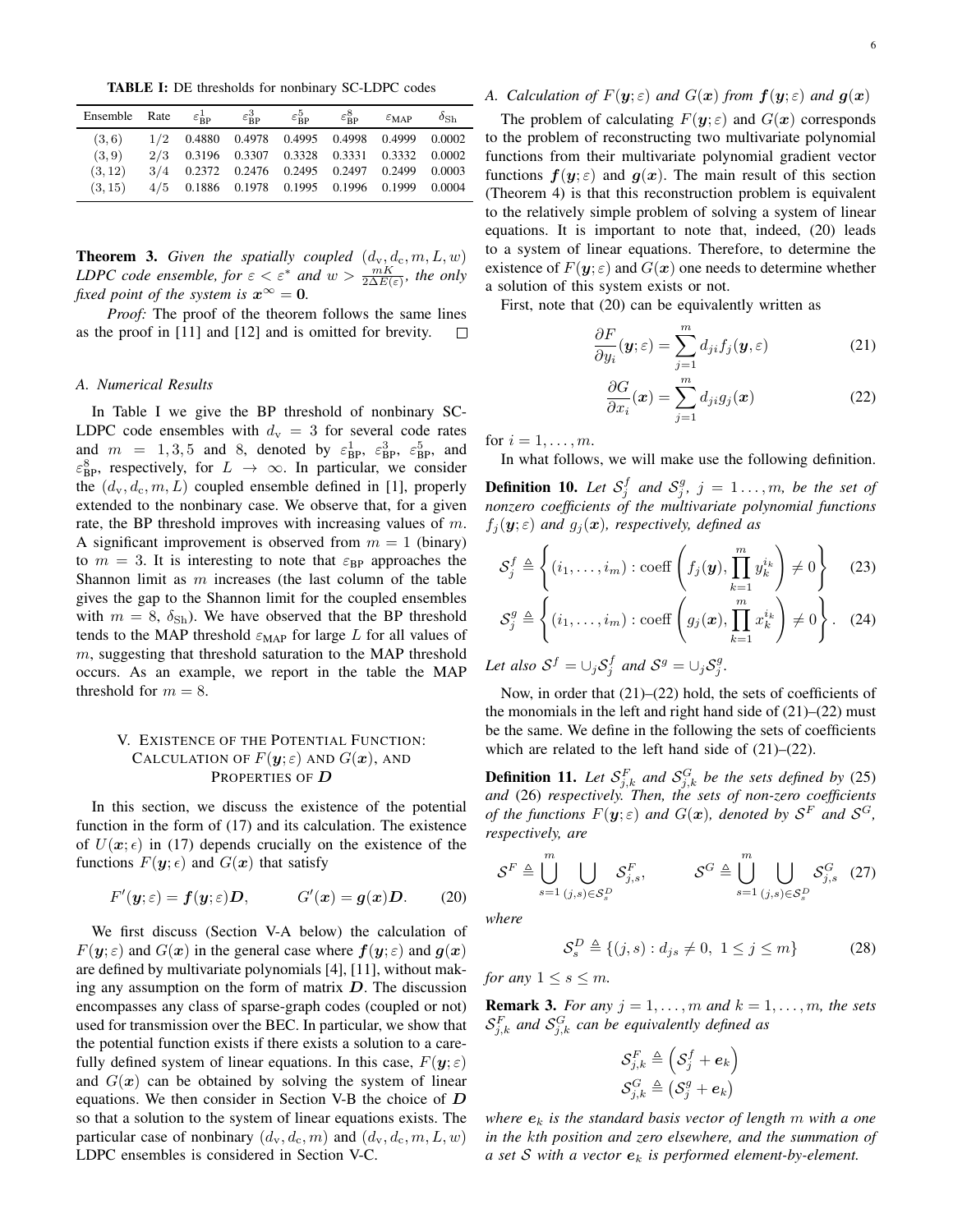TABLE I: DE thresholds for nonbinary SC-LDPC codes

| Ensemble Rate |                                               | $\varepsilon_{\rm BP}^1$ $\varepsilon_{\rm BP}^3$ | $\varepsilon_{\bf BP}^5$ | $\varepsilon_{\bf BP}^8$ | $\varepsilon_{MAP}$ | $\delta_{\mathrm{Sh}}$ |
|---------------|-----------------------------------------------|---------------------------------------------------|--------------------------|--------------------------|---------------------|------------------------|
| (3,6)         | 1/2 0.4880 0.4978 0.4995 0.4998 0.4999 0.0002 |                                                   |                          |                          |                     |                        |
| (3, 9)        | 2/3 0.3196 0.3307 0.3328 0.3331 0.3332 0.0002 |                                                   |                          |                          |                     |                        |
| (3, 12)       | 3/4 0.2372 0.2476 0.2495 0.2497 0.2499 0.0003 |                                                   |                          |                          |                     |                        |
| (3, 15)       | 4/5 0.1886 0.1978 0.1995 0.1996 0.1999 0.0004 |                                                   |                          |                          |                     |                        |
|               |                                               |                                                   |                          |                          |                     |                        |

**Theorem 3.** Given the spatially coupled  $(d_v, d_c, m, L, w)$ *LDPC code ensemble, for*  $\varepsilon < \varepsilon^*$  *and*  $w > \frac{mK}{2\Delta E(\varepsilon)}$ *, the only fixed point of the system is*  $x^{\infty} = 0$ *.* 

*Proof:* The proof of the theorem follows the same lines as the proof in [11] and [12] and is omitted for brevity.  $\Box$ 

#### *A. Numerical Results*

In Table I we give the BP threshold of nonbinary SC-LDPC code ensembles with  $d_v = 3$  for several code rates and  $m = 1, 3, 5$  and 8, denoted by  $\varepsilon_{\rm BP}^1$ ,  $\varepsilon_{\rm BP}^3$ ,  $\varepsilon_{\rm BP}^5$ , and  $\varepsilon_{\rm BP}^8$ , respectively, for  $L \rightarrow \infty$ . In particular, we consider the  $(d_v, d_c, m, L)$  coupled ensemble defined in [1], properly extended to the nonbinary case. We observe that, for a given rate, the BP threshold improves with increasing values of m. A significant improvement is observed from  $m = 1$  (binary) to  $m = 3$ . It is interesting to note that  $\varepsilon_{\rm BP}$  approaches the Shannon limit as  $m$  increases (the last column of the table gives the gap to the Shannon limit for the coupled ensembles with  $m = 8$ ,  $\delta_{\rm Sh}$ ). We have observed that the BP threshold tends to the MAP threshold  $\varepsilon_{\text{MAP}}$  for large L for all values of m, suggesting that threshold saturation to the MAP threshold occurs. As an example, we report in the table the MAP threshold for  $m = 8$ .

#### V. EXISTENCE OF THE POTENTIAL FUNCTION: CALCULATION OF  $F(\mathbf{y};\varepsilon)$  and  $G(\mathbf{x})$ , and PROPERTIES OF D

In this section, we discuss the existence of the potential function in the form of (17) and its calculation. The existence of  $U(x; \epsilon)$  in (17) depends crucially on the existence of the functions  $F(y; \epsilon)$  and  $G(x)$  that satisfy

$$
F'(y; \varepsilon) = f(y; \varepsilon)D, \qquad G'(x) = g(x)D. \qquad (20)
$$

We first discuss (Section V-A below) the calculation of  $F(y; \varepsilon)$  and  $G(x)$  in the general case where  $f(y; \varepsilon)$  and  $g(x)$ are defined by multivariate polynomials [4], [11], without making any assumption on the form of matrix  $D$ . The discussion encompasses any class of sparse-graph codes (coupled or not) used for transmission over the BEC. In particular, we show that the potential function exists if there exists a solution to a carefully defined system of linear equations. In this case,  $F(\mathbf{y}; \varepsilon)$ and  $G(x)$  can be obtained by solving the system of linear equations. We then consider in Section V-B the choice of  $D$ so that a solution to the system of linear equations exists. The particular case of nonbinary  $(d_v, d_c, m)$  and  $(d_v, d_c, m, L, w)$ LDPC ensembles is considered in Section V-C.

#### *A. Calculation of*  $F(y; \varepsilon)$  *and*  $G(x)$  *from*  $f(y; \varepsilon)$  *and*  $g(x)$

The problem of calculating  $F(y; \varepsilon)$  and  $G(x)$  corresponds to the problem of reconstructing two multivariate polynomial functions from their multivariate polynomial gradient vector functions  $f(y; \varepsilon)$  and  $g(x)$ . The main result of this section (Theorem 4) is that this reconstruction problem is equivalent to the relatively simple problem of solving a system of linear equations. It is important to note that, indeed, (20) leads to a system of linear equations. Therefore, to determine the existence of  $F(y; \varepsilon)$  and  $G(x)$  one needs to determine whether a solution of this system exists or not.

First, note that (20) can be equivalently written as

$$
\frac{\partial F}{\partial y_i}(\mathbf{y}; \varepsilon) = \sum_{j=1}^m d_{ji} f_j(\mathbf{y}, \varepsilon)
$$
 (21)

$$
\frac{\partial G}{\partial x_i}(\boldsymbol{x}) = \sum_{j=1}^m d_{ji} g_j(\boldsymbol{x}) \tag{22}
$$

for  $i = 1, \ldots, m$ .

In what follows, we will make use the following definition.

**Definition 10.** Let  $S_j^f$  and  $S_j^g$ ,  $j = 1 \ldots, m$ , be the set of *nonzero coefficients of the multivariate polynomial functions*  $f_i(\mathbf{y}; \varepsilon)$  and  $g_i(\mathbf{x})$ , respectively, defined as

$$
\mathcal{S}_j^f \triangleq \left\{ (i_1, \dots, i_m) : \text{coeff}\left(f_j(\boldsymbol{y}), \prod_{k=1}^m y_k^{i_k}\right) \neq 0 \right\} \quad (23)
$$

$$
\mathcal{S}_i^g \triangleq \left\{ (i_1, \dots, i_m) : \text{coeff}\left(g_j(\boldsymbol{x}), \prod_{k=1}^m x_k^{i_k}\right) \neq 0 \right\} . \quad (24)
$$

$$
\mathcal{S}_{j}^{g} \triangleq \left\{ (i_{1}, \ldots, i_{m}) : \text{coeff}\left(g_{j}(\boldsymbol{x}), \prod_{k=1}^{m} x_{k}^{i_{k}}\right) \neq 0 \right\}.
$$
 (24)

Let also  $S^f = \cup_j S_j^f$  and  $S^g = \cup_j S_j^g$ .

Now, in order that (21)–(22) hold, the sets of coefficients of the monomials in the left and right hand side of  $(21)$ – $(22)$  must be the same. We define in the following the sets of coefficients which are related to the left hand side of (21)–(22).

**Definition 11.** Let  $\mathcal{S}_{j,k}^F$  and  $\mathcal{S}_{j,k}^G$  be the sets defined by (25) *and* (26) *respectively. Then, the sets of non-zero coefficients of the functions*  $F(y; \varepsilon)$  *and*  $G(x)$ *, denoted by*  $S^F$  *and*  $S^G$ *, respectively, are*

$$
\mathcal{S}^F \triangleq \bigcup_{s=1}^m \bigcup_{(j,s)\in\mathcal{S}_s^D} \mathcal{S}_{j,s}^F, \qquad \mathcal{S}^G \triangleq \bigcup_{s=1}^m \bigcup_{(j,s)\in\mathcal{S}_s^D} \mathcal{S}_{j,s}^G \quad (27)
$$

*where*

$$
\mathcal{S}_s^D \triangleq \{(j, s) : d_{js} \neq 0, \ 1 \le j \le m\}
$$
 (28)

*for any*  $1 \leq s \leq m$ *.* 

**Remark 3.** *For any*  $j = 1, \ldots, m$  *and*  $k = 1, \ldots, m$ *, the sets*  $\mathcal{S}_{j,k}^F$  and  $\mathcal{S}_{j,k}^G$  can be equivalently defined as

$$
\mathcal{S}^{F}_{j,k} \triangleq \left(\mathcal{S}^{f}_{j} + \bm{e}_{k}\right) \\ \mathcal{S}^{G}_{j,k} \triangleq \left(\mathcal{S}^{g}_{j} + \bm{e}_{k}\right)
$$

*where*  $e_k$  *is the standard basis vector of length m with a one in the* k*th position and zero elsewhere, and the summation of a set* S *with a vector* e<sup>k</sup> *is performed element-by-element.*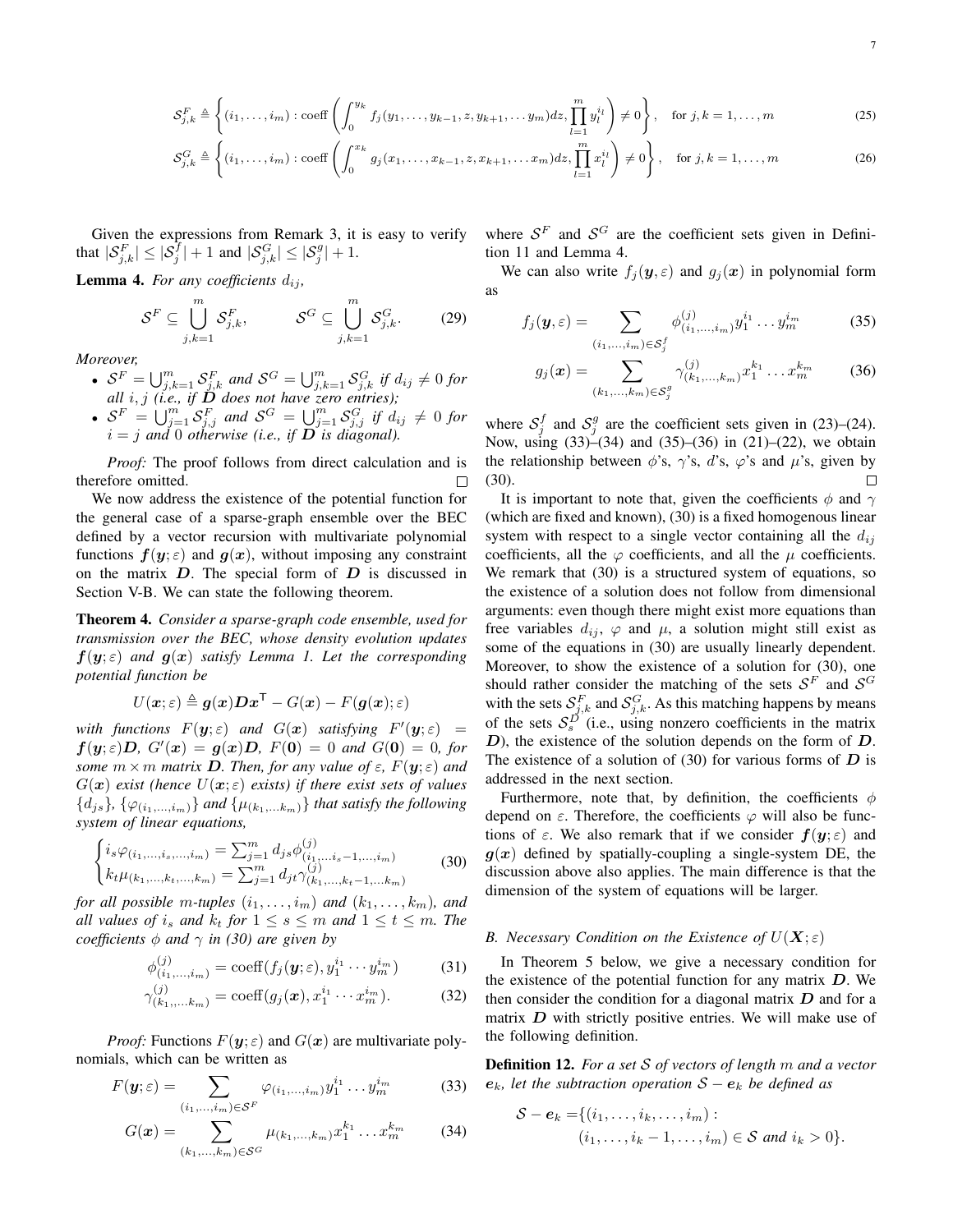$$
\mathcal{S}_{j,k}^{F} \triangleq \left\{ (i_1, \ldots, i_m) : \text{coeff}\left( \int_0^{y_k} f_j(y_1, \ldots, y_{k-1}, z, y_{k+1}, \ldots, y_m) dz, \prod_{l=1}^m y_l^{i_l} \right) \neq 0 \right\}, \quad \text{for } j, k = 1, \ldots, m
$$
\n
$$
\mathcal{S}_{j,k} \triangleq \left\{ (i_1, \ldots, i_m) : \text{coeff}\left( \int_0^{y_k} f_j(y_1, \ldots, y_{k-1}, z, y_{k+1}, \ldots, y_m) dz, \prod_{l=1}^m y_l^{i_l} \right) \neq 0 \right\}, \quad \text{for } j, k = 1, \ldots, m
$$
\n
$$
(25)
$$

$$
\mathcal{S}_{j,k}^G \triangleq \left\{ (i_1, \dots, i_m) : \text{coeff} \left( \int_0^{x_k} g_j(x_1, \dots, x_{k-1}, z, x_{k+1}, \dots, x_m) dz, \prod_{l=1}^m x_l^{i_l} \right) \neq 0 \right\}, \quad \text{for } j, k = 1, \dots, m
$$
 (26)

Given the expressions from Remark 3, it is easy to verify that  $|\mathcal{S}_{j,k}^F| \leq |\mathcal{S}_j^{\tilde{f}}| + 1$  and  $|\mathcal{S}_{j,k}^G| \leq |\mathcal{S}_j^g| + 1$ .

**Lemma 4.** For any coefficients  $d_{ij}$ ,

$$
S^{F} \subseteq \bigcup_{j,k=1}^{m} S_{j,k}^{F}, \qquad S^{G} \subseteq \bigcup_{j,k=1}^{m} S_{j,k}^{G}.
$$
 (29)

*Moreover,*

- $S^F = \bigcup_{j,k=1}^m S_{j,k}^F$  and  $S^G = \bigcup_{j,k=1}^m S_{j,k}^G$  if  $d_{ij} \neq 0$  for *all* i, j *(i.e., if* D *does not have zero entries);*
- $S^F = \bigcup_{j=1}^m S_{j,j}^F$  and  $S^G = \bigcup_{j=1}^m S_{j,j}^G$  if  $d_{ij} \neq 0$  for  $i = j$  and 0 otherwise (i.e., if  $D$  is diagonal).

*Proof:* The proof follows from direct calculation and is therefore omitted. П

We now address the existence of the potential function for the general case of a sparse-graph ensemble over the BEC defined by a vector recursion with multivariate polynomial functions  $f(y; \varepsilon)$  and  $g(x)$ , without imposing any constraint on the matrix  $D$ . The special form of  $D$  is discussed in Section V-B. We can state the following theorem.

Theorem 4. *Consider a sparse-graph code ensemble, used for transmission over the BEC, whose density evolution updates*  $f(y; \varepsilon)$  *and*  $g(x)$  *satisfy Lemma 1. Let the corresponding potential function be*

$$
U(\boldsymbol{x};\varepsilon) \triangleq \boldsymbol{g}(\boldsymbol{x}) \boldsymbol{D} \boldsymbol{x}^{\mathsf{T}} - G(\boldsymbol{x}) - F(\boldsymbol{g}(\boldsymbol{x});\varepsilon)
$$

with functions  $F(y;\varepsilon)$  and  $G(x)$  satisfying  $F'(y;\varepsilon) =$  $f(y;\varepsilon)D, G'(x) = g(x)D, F(0) = 0$  and  $G(0) = 0$ , for *some*  $m \times m$  *matrix* **D**. Then, for any value of  $\varepsilon$ ,  $F(\mathbf{y}; \varepsilon)$  and  $G(\mathbf{x})$  *exist (hence*  $U(\mathbf{x}; \varepsilon)$  *exists) if there exist sets of values*  $\{d_{js}\}, \{\varphi_{(i_1,...,i_m)}\}$  *and*  $\{\mu_{(k_1,...,k_m)}\}$  *that satisfy the following system of linear equations,*

$$
\begin{cases}\ni_s \varphi_{(i_1,\ldots,i_s,\ldots,i_m)} = \sum_{j=1}^m d_{js} \phi_{(i_1,\ldots,i_s-1,\ldots,i_m)}^{(j)} \\
k_t \mu_{(k_1,\ldots,k_t,\ldots,k_m)} = \sum_{j=1}^m d_{jt} \gamma_{(k_1,\ldots,k_t-1,\ldots,k_m)}^{(j)}\n\end{cases} \tag{30}
$$

*for all possible m-tuples*  $(i_1, \ldots, i_m)$  *and*  $(k_1, \ldots, k_m)$ *, and all values of*  $i_s$  *and*  $k_t$  *for*  $1 \leq s \leq m$  *and*  $1 \leq t \leq m$ *. The coefficients*  $\phi$  *and*  $\gamma$  *in (30) are given by* 

$$
\phi_{(i_1,\ldots,i_m)}^{(j)} = \text{coeff}(f_j(\boldsymbol{y};\varepsilon), y_1^{i_1} \cdots y_m^{i_m})
$$
(31)

$$
\gamma_{(k_1,...,k_m)}^{(j)} = \text{coeff}(g_j(\boldsymbol{x}), x_1^{i_1} \cdots x_m^{i_m}).
$$
 (32)

*Proof:* Functions  $F(y; \varepsilon)$  and  $G(x)$  are multivariate polynomials, which can be written as

$$
F(\mathbf{y};\varepsilon) = \sum_{(i_1,\ldots,i_m)\in\mathcal{S}^F} \varphi_{(i_1,\ldots,i_m)} y_1^{i_1} \ldots y_m^{i_m}
$$
(33)

$$
G(\boldsymbol{x}) = \sum_{(k_1,\ldots,k_m)\in\mathcal{S}^G} \mu_{(k_1,\ldots,k_m)} x_1^{k_1} \ldots x_m^{k_m}
$$
 (34)

where  $S^F$  and  $S^G$  are the coefficient sets given in Definition 11 and Lemma 4.

We can also write  $f_j(\mathbf{y}, \varepsilon)$  and  $g_j(\mathbf{x})$  in polynomial form as

$$
f_j(\mathbf{y}, \varepsilon) = \sum_{(i_1, \dots, i_m) \in \mathcal{S}_j^f} \phi_{(i_1, \dots, i_m)}^{(j)} y_1^{i_1} \dots y_m^{i_m} \tag{35}
$$

$$
g_j(\boldsymbol{x}) = \sum_{(k_1,\ldots,k_m) \in \mathcal{S}_j^g} \gamma_{(k_1,\ldots,k_m)}^{(j)} x_1^{k_1} \ldots x_m^{k_m}
$$
 (36)

where  $S_j^f$  and  $S_j^g$  are the coefficient sets given in (23)–(24). Now, using (33)–(34) and (35)–(36) in (21)–(22), we obtain the relationship between  $\phi$ 's,  $\gamma$ 's, d's,  $\varphi$ 's and  $\mu$ 's, given by (30).  $\Box$ 

It is important to note that, given the coefficients  $\phi$  and  $\gamma$ (which are fixed and known), (30) is a fixed homogenous linear system with respect to a single vector containing all the  $d_{ij}$ coefficients, all the  $\varphi$  coefficients, and all the  $\mu$  coefficients. We remark that (30) is a structured system of equations, so the existence of a solution does not follow from dimensional arguments: even though there might exist more equations than free variables  $d_{ij}$ ,  $\varphi$  and  $\mu$ , a solution might still exist as some of the equations in (30) are usually linearly dependent. Moreover, to show the existence of a solution for (30), one should rather consider the matching of the sets  $S^F$  and  $S^G$ with the sets  $S_{j,k}^F$  and  $S_{j,k}^G$ . As this matching happens by means of the sets  $S_s^D$  (i.e., using nonzero coefficients in the matrix  $D$ ), the existence of the solution depends on the form of  $D$ . The existence of a solution of  $(30)$  for various forms of  $D$  is addressed in the next section.

Furthermore, note that, by definition, the coefficients  $\phi$ depend on  $\varepsilon$ . Therefore, the coefficients  $\varphi$  will also be functions of  $\varepsilon$ . We also remark that if we consider  $f(y; \varepsilon)$  and  $g(x)$  defined by spatially-coupling a single-system DE, the discussion above also applies. The main difference is that the dimension of the system of equations will be larger.

#### *B. Necessary Condition on the Existence of*  $U(X; \varepsilon)$

In Theorem 5 below, we give a necessary condition for the existence of the potential function for any matrix  $D$ . We then consider the condition for a diagonal matrix  $D$  and for a matrix  $D$  with strictly positive entries. We will make use of the following definition.

Definition 12. *For a set* S *of vectors of length* m *and a vector*  $e_k$ *, let the subtraction operation*  $S - e_k$  *be defined as* 

$$
S - e_k = \{(i_1, \ldots, i_k, \ldots, i_m) : (i_1, \ldots, i_k - 1, \ldots, i_m) \in S \text{ and } i_k > 0\}.
$$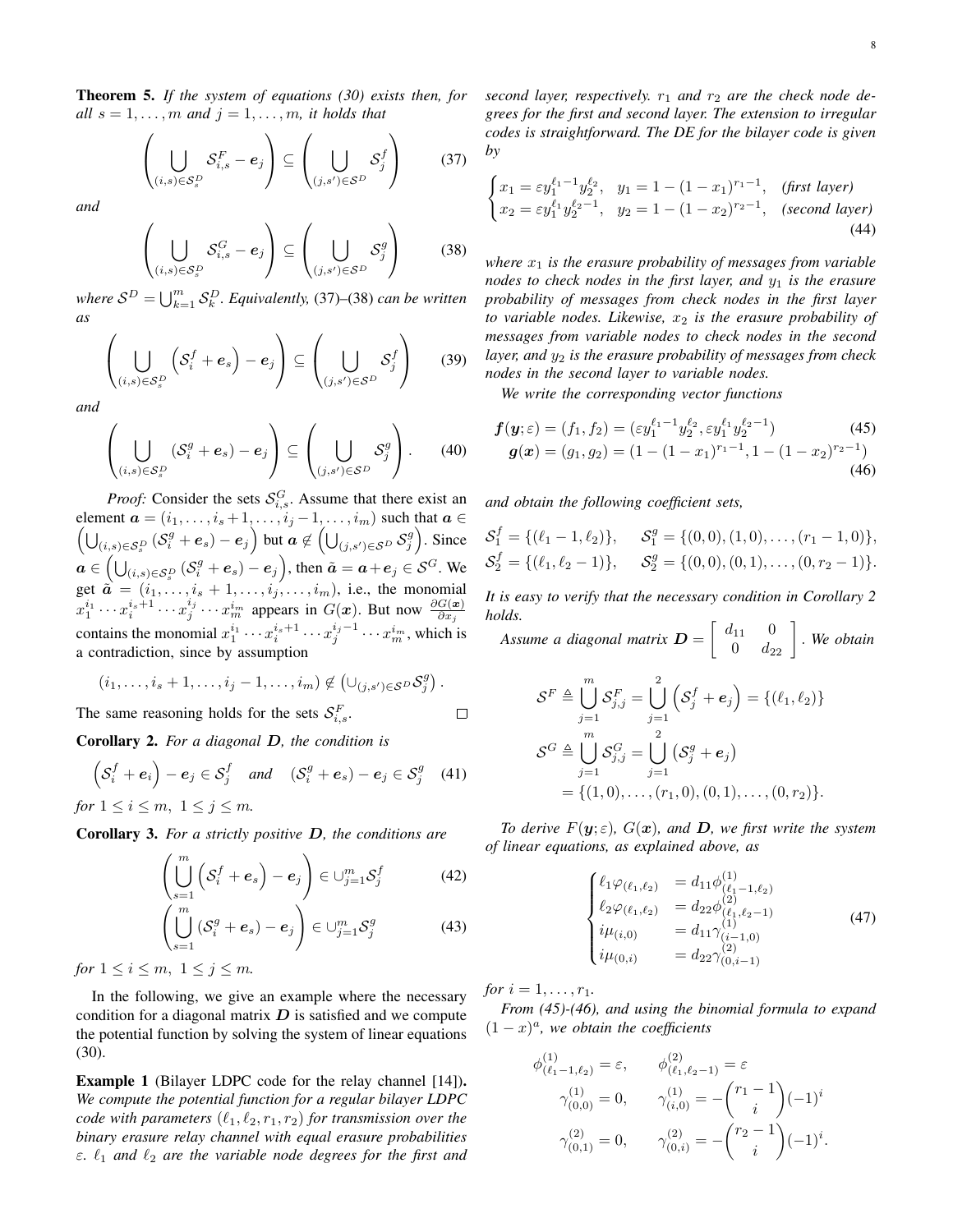Theorem 5. *If the system of equations (30) exists then, for all*  $s = 1, \ldots, m$  *and*  $j = 1, \ldots, m$ *, it holds that* 

$$
\left(\bigcup_{(i,s)\in\mathcal{S}_s^D} \mathcal{S}_{i,s}^F - \mathbf{e}_j\right) \subseteq \left(\bigcup_{(j,s')\in\mathcal{S}^D} \mathcal{S}_j^f\right) \tag{37}
$$

*and*

$$
\left(\bigcup_{(i,s)\in\mathcal{S}_s^D} \mathcal{S}_{i,s}^G - e_j\right) \subseteq \left(\bigcup_{(j,s')\in\mathcal{S}^D} \mathcal{S}_j^g\right) \tag{38}
$$

where  $S^D = \bigcup_{k=1}^m S_k^D$ . Equivalently, (37)–(38) can be written *as*

$$
\left(\bigcup_{(i,s)\in\mathcal{S}_{s}^{D}}\left(\mathcal{S}_{i}^{f}+\boldsymbol{e}_{s}\right)-\boldsymbol{e}_{j}\right)\subseteq\left(\bigcup_{(j,s')\in\mathcal{S}^{D}}\mathcal{S}_{j}^{f}\right)
$$
(39)

*and*

$$
\left(\bigcup_{(i,s)\in\mathcal{S}_{s}^{D}}\left(\mathcal{S}_{i}^{g}+\boldsymbol{e}_{s}\right)-\boldsymbol{e}_{j}\right)\subseteq\left(\bigcup_{(j,s')\in\mathcal{S}^{D}}\mathcal{S}_{j}^{g}\right).
$$
 (40)

*Proof:* Consider the sets  $S_{i,s}^G$ . Assume that there exist an element  $\sqrt{ }$  $a = (i_1, \ldots, i_s + 1, \ldots, i_j - 1, \ldots, i_m)$  such that  $a \in$  $\bigcup_{(i,s)\in\mathcal{S}_s^D}(\mathcal{S}_i^g+e_s)-e_j\Big)$  but  $a\not\in\left(\bigcup_{(j,s')\in\mathcal{S}^D}\mathcal{S}_j^g\right)$ . Since  $a \in (\bigcup_{(i,s) \in \mathcal{S}_s^D} (\mathcal{S}_i^g + e_s) - e_j),$  then  $\tilde{a} = a + e_j \in \mathcal{S}^G$ . We get  $\tilde{a} = (i_1, \ldots, i_s + 1, \ldots, i_j, \ldots, i_m)$ , i.e., the monomial  $x_1^{i_1} \cdots x_i^{i_s+1} \cdots x_j^{i_j} \cdots x_m^{i_m}$  appears in  $G(x)$ . But now  $\frac{\partial G(x)}{\partial x_j}$ contains the monomial  $x_1^{i_1} \cdots x_i^{i_s+1} \cdots x_j^{i_j-1} \cdots x_m^{i_m}$ , which is a contradiction, since by assumption

$$
(i_1,\ldots,i_s+1,\ldots,i_j-1,\ldots,i_m)\notin (\cup_{(j,s')\in\mathcal{S}^D}\mathcal{S}^g_j).
$$

The same reasoning holds for the sets  $S_{i,s}^F$ .

Corollary 2. For a diagonal 
$$
D
$$
, the condition is

$$
\left(S_i^f + \boldsymbol{e}_i\right) - \boldsymbol{e}_j \in S_j^f \quad \text{and} \quad \left(S_i^g + \boldsymbol{e}_s\right) - \boldsymbol{e}_j \in S_j^g \quad (41)
$$

*for*  $1 \leq i \leq m$ ,  $1 \leq j \leq m$ .

Corollary 3. *For a strictly positive* D*, the conditions are*

$$
\left(\bigcup_{s=1}^{m} \left(\mathcal{S}_{i}^{f} + \boldsymbol{e}_{s}\right) - \boldsymbol{e}_{j}\right) \in \cup_{j=1}^{m} \mathcal{S}_{j}^{f} \tag{42}
$$

$$
\left(\bigcup_{s=1}^{m} \left(\mathcal{S}_{i}^{g} + \boldsymbol{e}_{s}\right) - \boldsymbol{e}_{j}\right) \in \cup_{j=1}^{m} \mathcal{S}_{j}^{g} \tag{43}
$$

*for*  $1 \leq i \leq m$ ,  $1 \leq j \leq m$ .

In the following, we give an example where the necessary condition for a diagonal matrix  $D$  is satisfied and we compute the potential function by solving the system of linear equations (30).

Example 1 (Bilayer LDPC code for the relay channel [14]). *We compute the potential function for a regular bilayer LDPC code with parameters*  $(\ell_1, \ell_2, r_1, r_2)$  *for transmission over the binary erasure relay channel with equal erasure probabilities*  $\varepsilon$ .  $\ell_1$  *and*  $\ell_2$  *are the variable node degrees for the first and*  second layer, respectively.  $r_1$  and  $r_2$  are the check node de*grees for the first and second layer. The extension to irregular codes is straightforward. The DE for the bilayer code is given by*

$$
\begin{cases}\nx_1 = \varepsilon y_1^{\ell_1 - 1} y_2^{\ell_2}, & y_1 = 1 - (1 - x_1)^{r_1 - 1}, & \text{(first layer)} \\
x_2 = \varepsilon y_1^{\ell_1} y_2^{\ell_2 - 1}, & y_2 = 1 - (1 - x_2)^{r_2 - 1}, & \text{(second layer)}\n\end{cases}
$$
\n(44)

*where* x<sup>1</sup> *is the erasure probability of messages from variable nodes to check nodes in the first layer, and*  $y_1$  *is the erasure probability of messages from check nodes in the first layer to variable nodes. Likewise,* x<sup>2</sup> *is the erasure probability of messages from variable nodes to check nodes in the second layer, and*  $y_2$  *is the erasure probability of messages from check nodes in the second layer to variable nodes.*

*We write the corresponding vector functions*

$$
\mathbf{f}(\mathbf{y};\varepsilon) = (f_1, f_2) = (\varepsilon y_1^{\ell_1 - 1} y_2^{\ell_2}, \varepsilon y_1^{\ell_1} y_2^{\ell_2 - 1})
$$
(45)  

$$
\mathbf{g}(\mathbf{x}) = (g_1, g_2) = (1 - (1 - x_1)^{r_1 - 1}, 1 - (1 - x_2)^{r_2 - 1})
$$
(46)

*and obtain the following coefficient sets,*

$$
\mathcal{S}_1^f = \{ (\ell_1 - 1, \ell_2) \}, \quad \mathcal{S}_1^g = \{ (0, 0), (1, 0), \dots, (r_1 - 1, 0) \},
$$
  

$$
\mathcal{S}_2^f = \{ (\ell_1, \ell_2 - 1) \}, \quad \mathcal{S}_2^g = \{ (0, 0), (0, 1), \dots, (0, r_2 - 1) \}.
$$

*It is easy to verify that the necessary condition in Corollary 2 holds.*

Assume a diagonal matrix  $\boldsymbol{D} = \left[ \begin{array}{cc} d_{11} & 0 \\ 0 & d_{22} \end{array} \right]$  . We obtain

$$
\mathcal{S}^F \triangleq \bigcup_{j=1}^m \mathcal{S}_{j,j}^F = \bigcup_{j=1}^2 \left( \mathcal{S}_j^f + \mathbf{e}_j \right) = \{ (\ell_1, \ell_2) \}
$$
  

$$
\mathcal{S}^G \triangleq \bigcup_{j=1}^m \mathcal{S}_{j,j}^G = \bigcup_{j=1}^2 \left( \mathcal{S}_j^g + \mathbf{e}_j \right)
$$
  

$$
= \{ (1,0), \dots, (r_1,0), (0,1), \dots, (0, r_2) \}.
$$

*To derive*  $F(y;\varepsilon)$ *,*  $G(x)$ *, and D<i>, we first write the system of linear equations, as explained above, as*

$$
\begin{cases}\n\ell_1 \varphi_{(\ell_1, \ell_2)} = d_{11} \phi_{(\ell_1 - 1, \ell_2)}^{(1)} \\
\ell_2 \varphi_{(\ell_1, \ell_2)} = d_{22} \phi_{(\ell_1, \ell_2 - 1)}^{(2)} \\
i \mu_{(i, 0)} = d_{11} \gamma_{(i - 1, 0)}^{(1)} \\
i \mu_{(0, i)} = d_{22} \gamma_{(0, i - 1)}^{(2)}\n\end{cases} (47)
$$

*for*  $i = 1, ..., r_1$ .

 $\Box$ 

*From (45)-(46), and using the binomial formula to expand*  $(1-x)^a$ , we obtain the coefficients

$$
\phi_{(\ell_1-1,\ell_2)}^{(1)} = \varepsilon, \qquad \phi_{(\ell_1,\ell_2-1)}^{(2)} = \varepsilon \n\gamma_{(0,0)}^{(1)} = 0, \qquad \gamma_{(i,0)}^{(1)} = -\binom{r_1-1}{i}(-1)^i \n\gamma_{(0,1)}^{(2)} = 0, \qquad \gamma_{(0,i)}^{(2)} = -\binom{r_2-1}{i}(-1)^i.
$$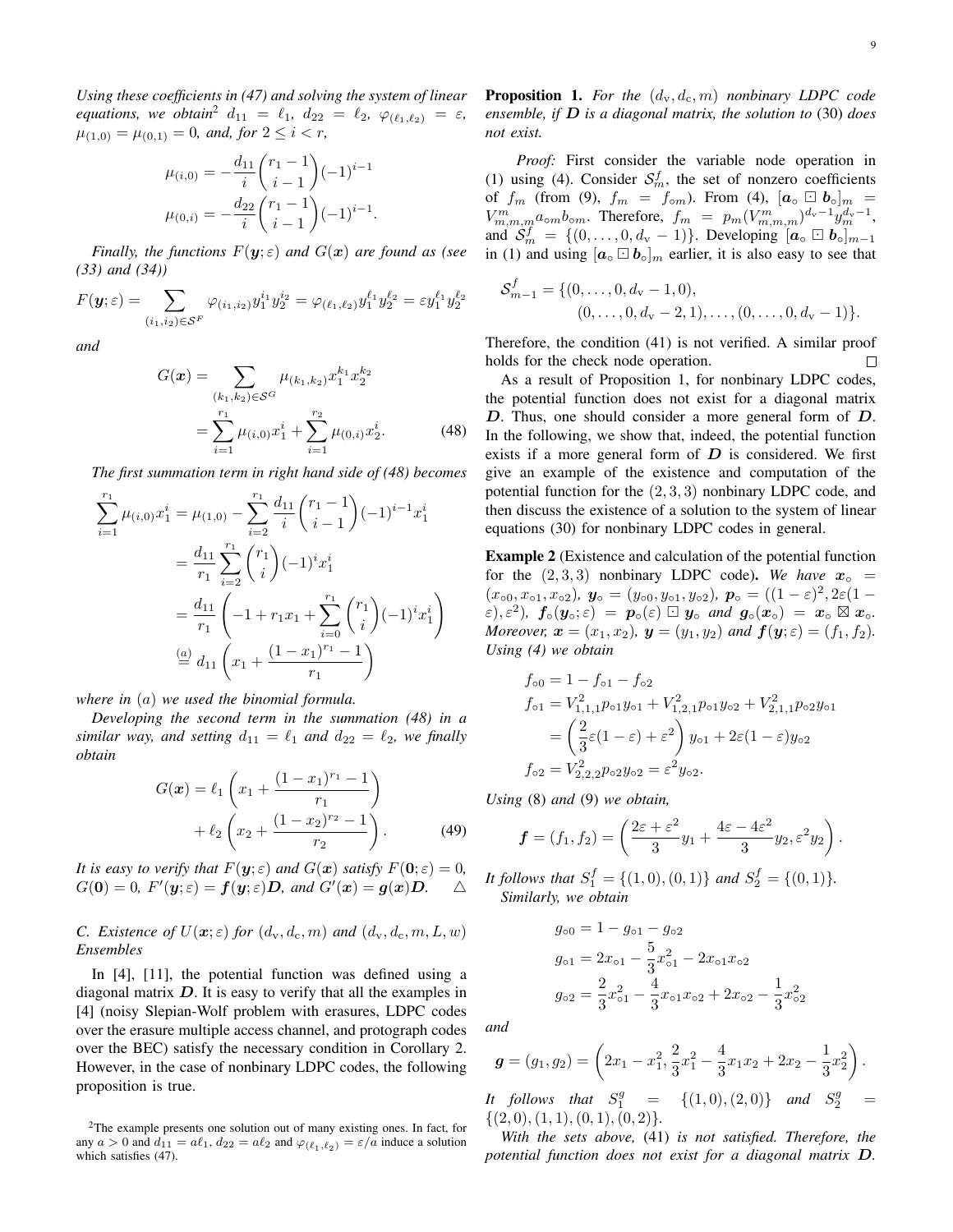9

*Using these coefficients in (47) and solving the system of linear equations, we obtain*<sup>2</sup>  $d_{11} = \ell_1, d_{22} = \ell_2, \varphi_{(\ell_1,\ell_2)} = \varepsilon$ *,*  $\mu_{(1,0)} = \mu_{(0,1)} = 0$ , and, for  $2 \leq i < r$ ,

$$
\mu_{(i,0)} = -\frac{d_{11}}{i} \binom{r_1 - 1}{i - 1} (-1)^{i - 1}
$$

$$
\mu_{(0,i)} = -\frac{d_{22}}{i} \binom{r_1 - 1}{i - 1} (-1)^{i - 1}.
$$

*Finally, the functions*  $F(y; \varepsilon)$  *and*  $G(x)$  *are found as (see (33) and (34))*

$$
F(\mathbf{y};\varepsilon) = \sum_{(i_1,i_2) \in \mathcal{S}^F} \varphi_{(i_1,i_2)} y_1^{i_1} y_2^{i_2} = \varphi_{(\ell_1,\ell_2)} y_1^{\ell_1} y_2^{\ell_2} = \varepsilon y_1^{\ell_1} y_2^{\ell_2}
$$

*and*

$$
G(\boldsymbol{x}) = \sum_{(k_1, k_2) \in \mathcal{S}^G} \mu_{(k_1, k_2)} x_1^{k_1} x_2^{k_2}
$$
  
= 
$$
\sum_{i=1}^{r_1} \mu_{(i,0)} x_1^i + \sum_{i=1}^{r_2} \mu_{(0,i)} x_2^i.
$$
 (48)

*The first summation term in right hand side of (48) becomes*

$$
\sum_{i=1}^{r_1} \mu_{(i,0)} x_1^i = \mu_{(1,0)} - \sum_{i=2}^{r_1} \frac{d_{11}}{i} {r_1 - 1 \choose i-1} (-1)^{i-1} x_1^i
$$
  
= 
$$
\frac{d_{11}}{r_1} \sum_{i=2}^{r_1} {r_1 \choose i} (-1)^i x_1^i
$$
  
= 
$$
\frac{d_{11}}{r_1} \left( -1 + r_1 x_1 + \sum_{i=0}^{r_1} {r_1 \choose i} (-1)^i x_1^i \right)
$$
  
= 
$$
\frac{d_1}{r_1} \left( x_1 + \frac{(1 - x_1)^{r_1} - 1}{r_1} \right)
$$

*where in* (a) *we used the binomial formula.*

*Developing the second term in the summation (48) in a similar way, and setting*  $d_{11} = \ell_1$  *and*  $d_{22} = \ell_2$ *, we finally obtain*

$$
G(\boldsymbol{x}) = \ell_1 \left( x_1 + \frac{(1 - x_1)^{r_1} - 1}{r_1} \right) + \ell_2 \left( x_2 + \frac{(1 - x_2)^{r_2} - 1}{r_2} \right). \tag{49}
$$

*It is easy to verify that*  $F(\mathbf{y}; \varepsilon)$  *and*  $G(\mathbf{x})$  *satisfy*  $F(\mathbf{0}; \varepsilon) = 0$ *,*  $G(\mathbf{0}) = 0$ ,  $F'(\mathbf{y}; \varepsilon) = \mathbf{f}(\mathbf{y}; \varepsilon) \mathbf{D}$ , and  $G'(\mathbf{x}) = \mathbf{g}(\mathbf{x}) \mathbf{D}$ .  $\triangle$ 

#### *C. Existence of*  $U(\mathbf{x}; \varepsilon)$  *for*  $(d_v, d_c, m)$  *and*  $(d_v, d_c, m, L, w)$ *Ensembles*

In [4], [11], the potential function was defined using a diagonal matrix  $D$ . It is easy to verify that all the examples in [4] (noisy Slepian-Wolf problem with erasures, LDPC codes over the erasure multiple access channel, and protograph codes over the BEC) satisfy the necessary condition in Corollary 2. However, in the case of nonbinary LDPC codes, the following proposition is true.

**Proposition 1.** For the  $(d_v, d_c, m)$  nonbinary LDPC code *ensemble, if* D *is a diagonal matrix, the solution to* (30) *does not exist.*

*Proof:* First consider the variable node operation in (1) using (4). Consider  $S_m^f$ , the set of nonzero coefficients of  $f_m$  (from (9),  $f_m = f_{\text{om}}$ ). From (4),  $[a_{\text{o}} \boxdot b_{\text{o}}]_m =$  $V^m_{m,m,m} a_{\text{om}} b_{\text{om}}$ . Therefore,  $f_m = p_m (V^m_{m,m,m})^{d_v-1} y_m^{d_v-1}$ , and  $S_m^f = \{(0, \ldots, 0, d_v - 1)\}\$ . Developing  $[a_0 \Box b_0]_{m-1}$ in (1) and using  $[a_0 \Box b_0]_m$  earlier, it is also easy to see that

$$
S_{m-1}^f = \{(0, \ldots, 0, d_{\mathbf{v}} - 1, 0), (0, \ldots, 0, d_{\mathbf{v}} - 2, 1), \ldots, (0, \ldots, 0, d_{\mathbf{v}} - 1)\}.
$$

Therefore, the condition (41) is not verified. A similar proof holds for the check node operation.  $\Box$ 

As a result of Proposition 1, for nonbinary LDPC codes, the potential function does not exist for a diagonal matrix D. Thus, one should consider a more general form of D. In the following, we show that, indeed, the potential function exists if a more general form of  $D$  is considered. We first give an example of the existence and computation of the potential function for the  $(2, 3, 3)$  nonbinary LDPC code, and then discuss the existence of a solution to the system of linear equations (30) for nonbinary LDPC codes in general.

Example 2 (Existence and calculation of the potential function for the  $(2, 3, 3)$  nonbinary LDPC code). We have  $x_0$  =  $(x<sub>00</sub>, x<sub>01</sub>, x<sub>02</sub>), y<sub>0</sub> = (y<sub>00</sub>, y<sub>01</sub>, y<sub>02</sub>), p<sub>0</sub> = ((1 - \varepsilon)<sup>2</sup>, 2\varepsilon(1 (\varepsilon), \varepsilon^2$ ),  $f_\circ(y_\circ; \varepsilon) = p_\circ(\varepsilon) \boxdot y_\circ$  *and*  $g_\circ(x_\circ) = x_\circ \boxtimes x_\circ$ . *Moreover,*  $\mathbf{x} = (x_1, x_2), \mathbf{y} = (y_1, y_2)$  *and*  $\mathbf{f}(\mathbf{y}; \varepsilon) = (f_1, f_2)$ *. Using (4) we obtain*

$$
f_{\circ 0} = 1 - f_{\circ 1} - f_{\circ 2}
$$
  
\n
$$
f_{\circ 1} = V_{1,1,1}^2 p_{\circ 1} y_{\circ 1} + V_{1,2,1}^2 p_{\circ 1} y_{\circ 2} + V_{2,1,1}^2 p_{\circ 2} y_{\circ 1}
$$
  
\n
$$
= \left(\frac{2}{3}\varepsilon(1-\varepsilon) + \varepsilon^2\right) y_{\circ 1} + 2\varepsilon(1-\varepsilon)y_{\circ 2}
$$
  
\n
$$
f_{\circ 2} = V_{2,2,2}^2 p_{\circ 2} y_{\circ 2} = \varepsilon^2 y_{\circ 2}.
$$

*Using* (8) *and* (9) *we obtain,*

$$
\boldsymbol{f}=(f_1,f_2)=\left(\frac{2\varepsilon+\varepsilon^2}{3}y_1+\frac{4\varepsilon-4\varepsilon^2}{3}y_2,\varepsilon^2y_2\right).
$$

It follows that  $S_1^f = \{(1,0), (0,1)\}$  and  $S_2^f = \{(0,1)\}.$ *Similarly, we obtain*

$$
g_{o0} = 1 - g_{o1} - g_{o2}
$$
  
\n
$$
g_{o1} = 2x_{o1} - \frac{5}{3}x_{o1}^2 - 2x_{o1}x_{o2}
$$
  
\n
$$
g_{o2} = \frac{2}{3}x_{o1}^2 - \frac{4}{3}x_{o1}x_{o2} + 2x_{o2} - \frac{1}{3}x_{o2}^2
$$

*and*

$$
\mathbf{g} = (g_1, g_2) = \left(2x_1 - x_1^2, \frac{2}{3}x_1^2 - \frac{4}{3}x_1x_2 + 2x_2 - \frac{1}{3}x_2^2\right).
$$
  
*It follows that*  $S_1^g = \{(1, 0), (2, 0)\}$  *and*  $S_2^g = \{(2, 0), (1, 1), (0, 1), (0, 2)\}.$ 

*With the sets above,* (41) *is not satisfied. Therefore, the potential function does not exist for a diagonal matrix* D*.*

<sup>2</sup>The example presents one solution out of many existing ones. In fact, for any  $a > 0$  and  $d_{11} = a\ell_1, d_{22} = a\ell_2$  and  $\varphi_{(\ell_1,\ell_2)} = \varepsilon/a$  induce a solution which satisfies (47).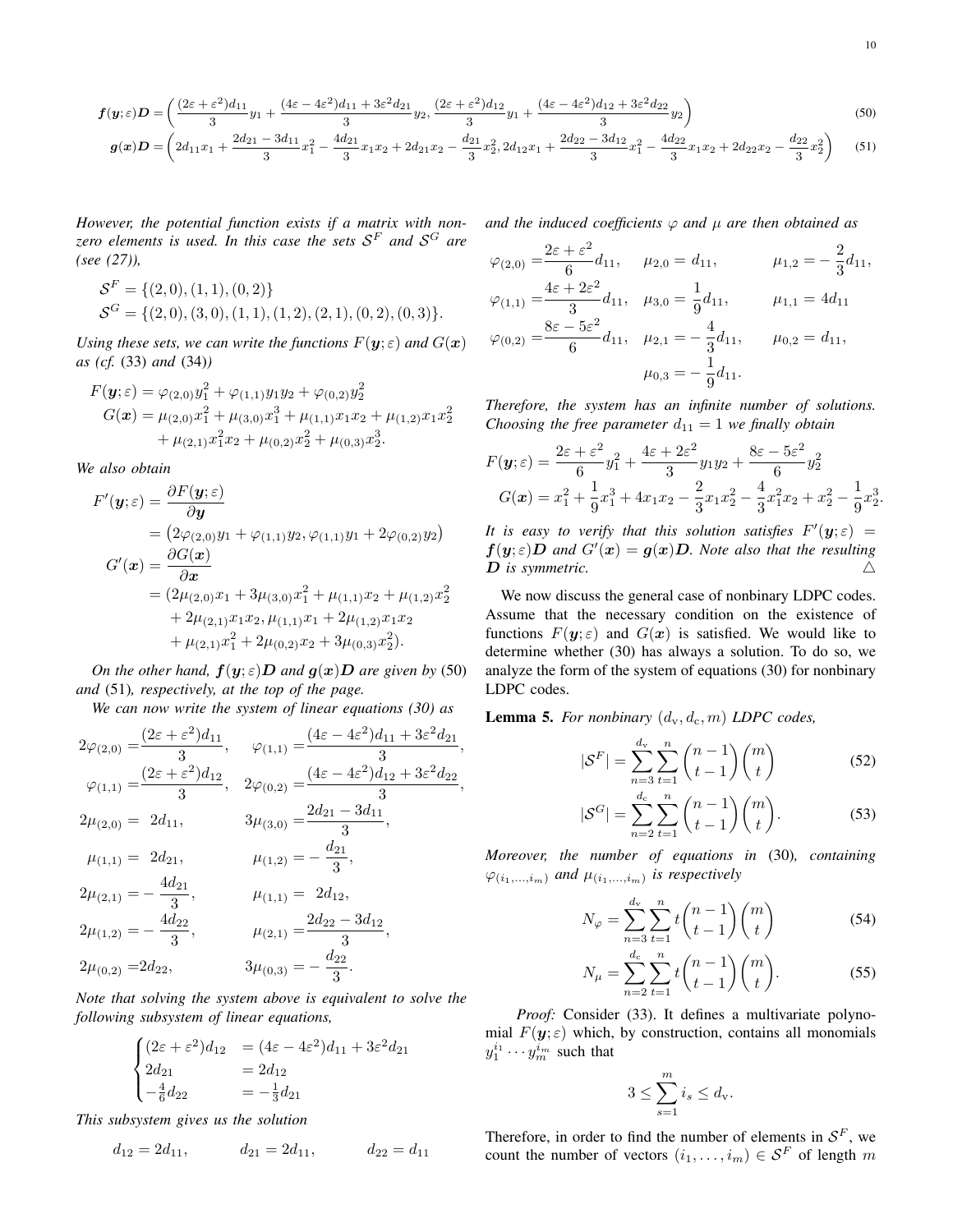$$
f(y;\varepsilon)D = \left(\frac{(2\varepsilon + \varepsilon^2)d_{11}}{3}y_1 + \frac{(4\varepsilon - 4\varepsilon^2)d_{11} + 3\varepsilon^2d_{21}}{3}y_2, \frac{(2\varepsilon + \varepsilon^2)d_{12}}{3}y_1 + \frac{(4\varepsilon - 4\varepsilon^2)d_{12} + 3\varepsilon^2d_{22}}{3}y_2\right)
$$
(50)

$$
\boldsymbol{g}(\boldsymbol{x})\boldsymbol{D} = \left(2d_{11}x_1 + \frac{2d_{21} - 3d_{11}}{3}x_1^2 - \frac{4d_{21}}{3}x_1x_2 + 2d_{21}x_2 - \frac{d_{21}}{3}x_2^2, 2d_{12}x_1 + \frac{2d_{22} - 3d_{12}}{3}x_1^2 - \frac{4d_{22}}{3}x_1x_2 + 2d_{22}x_2 - \frac{d_{22}}{3}x_2^2\right) \tag{51}
$$

*However, the potential function exists if a matrix with nonzero elements is used. In this case the sets* S <sup>F</sup> *and* S <sup>G</sup> *are (see (27)),*

$$
\mathcal{S}^F = \{ (2,0), (1,1), (0,2) \}
$$
  

$$
\mathcal{S}^G = \{ (2,0), (3,0), (1,1), (1,2), (2,1), (0,2), (0,3) \}.
$$

*Using these sets, we can write the functions*  $F(\mathbf{y}; \varepsilon)$  *and*  $G(\mathbf{x})$ *as (cf.* (33) *and* (34)*)*

$$
F(\mathbf{y};\varepsilon) = \varphi_{(2,0)} y_1^2 + \varphi_{(1,1)} y_1 y_2 + \varphi_{(0,2)} y_2^2
$$
  
\n
$$
G(\mathbf{x}) = \mu_{(2,0)} x_1^2 + \mu_{(3,0)} x_1^3 + \mu_{(1,1)} x_1 x_2 + \mu_{(1,2)} x_1 x_2^2
$$
  
\n
$$
+ \mu_{(2,1)} x_1^2 x_2 + \mu_{(0,2)} x_2^2 + \mu_{(0,3)} x_2^3.
$$

*We also obtain*

$$
F'(\mathbf{y}; \varepsilon) = \frac{\partial F(\mathbf{y}; \varepsilon)}{\partial \mathbf{y}}
$$
  
=  $(2\varphi_{(2,0)}y_1 + \varphi_{(1,1)}y_2, \varphi_{(1,1)}y_1 + 2\varphi_{(0,2)}y_2)$   

$$
G'(\mathbf{x}) = \frac{\partial G(\mathbf{x})}{\partial \mathbf{x}}
$$
  
=  $(2\mu_{(2,0)}x_1 + 3\mu_{(3,0)}x_1^2 + \mu_{(1,1)}x_2 + \mu_{(1,2)}x_2^2 + 2\mu_{(2,1)}x_1x_2, \mu_{(1,1)}x_1 + 2\mu_{(1,2)}x_1x_2 + \mu_{(2,1)}x_1^2 + 2\mu_{(0,2)}x_2 + 3\mu_{(0,3)}x_2^2).$ 

*On the other hand,*  $f(y; \varepsilon)D$  *and*  $g(x)D$  *are given by* (50) *and* (51)*, respectively, at the top of the page.*

*We can now write the system of linear equations (30) as*

$$
2\varphi_{(2,0)} = \frac{(2\varepsilon + \varepsilon^2)d_{11}}{3}, \quad \varphi_{(1,1)} = \frac{(4\varepsilon - 4\varepsilon^2)d_{11} + 3\varepsilon^2d_{21}}{3},
$$
  
\n
$$
\varphi_{(1,1)} = \frac{(2\varepsilon + \varepsilon^2)d_{12}}{3}, \quad 2\varphi_{(0,2)} = \frac{(4\varepsilon - 4\varepsilon^2)d_{12} + 3\varepsilon^2d_{22}}{3},
$$
  
\n
$$
2\mu_{(2,0)} = 2d_{11}, \quad 3\mu_{(3,0)} = \frac{2d_{21} - 3d_{11}}{3},
$$
  
\n
$$
\mu_{(1,1)} = 2d_{21}, \quad \mu_{(1,2)} = -\frac{d_{21}}{3},
$$
  
\n
$$
2\mu_{(2,1)} = -\frac{4d_{21}}{3}, \quad \mu_{(1,1)} = 2d_{12},
$$
  
\n
$$
2\mu_{(1,2)} = -\frac{4d_{22}}{3}, \quad \mu_{(2,1)} = \frac{2d_{22} - 3d_{12}}{3},
$$
  
\n
$$
2\mu_{(0,2)} = 2d_{22}, \quad 3\mu_{(0,3)} = -\frac{d_{22}}{3}.
$$

*Note that solving the system above is equivalent to solve the following subsystem of linear equations,*

$$
\begin{cases}\n(2\varepsilon + \varepsilon^2) d_{12} &= (4\varepsilon - 4\varepsilon^2) d_{11} + 3\varepsilon^2 d_{21} \\
2d_{21} &= 2d_{12} \\
-\frac{4}{6}d_{22} &= -\frac{1}{3}d_{21}\n\end{cases}
$$

*This subsystem gives us the solution*

$$
d_{12} = 2d_{11}, \t d_{21} = 2d_{11}, \t d_{22} = d_{11}
$$

*and the induced coefficients*  $\varphi$  *and*  $\mu$  *are then obtained as* 

$$
\varphi_{(2,0)} = \frac{2\varepsilon + \varepsilon^2}{6} d_{11}, \quad \mu_{2,0} = d_{11}, \quad \mu_{1,2} = -\frac{2}{3} d_{11},
$$
  

$$
\varphi_{(1,1)} = \frac{4\varepsilon + 2\varepsilon^2}{3} d_{11}, \quad \mu_{3,0} = \frac{1}{9} d_{11}, \quad \mu_{1,1} = 4d_{11}
$$
  

$$
\varphi_{(0,2)} = \frac{8\varepsilon - 5\varepsilon^2}{6} d_{11}, \quad \mu_{2,1} = -\frac{4}{3} d_{11}, \quad \mu_{0,2} = d_{11},
$$
  

$$
\mu_{0,3} = -\frac{1}{9} d_{11}.
$$

*Therefore, the system has an infinite number of solutions. Choosing the free parameter*  $d_{11} = 1$  *we finally obtain* 

$$
F(y; \varepsilon) = \frac{2\varepsilon + \varepsilon^2}{6} y_1^2 + \frac{4\varepsilon + 2\varepsilon^2}{3} y_1 y_2 + \frac{8\varepsilon - 5\varepsilon^2}{6} y_2^2
$$
  
\n
$$
G(x) = x_1^2 + \frac{1}{9} x_1^3 + 4x_1 x_2 - \frac{2}{3} x_1 x_2^2 - \frac{4}{3} x_1^2 x_2 + x_2^2 - \frac{1}{9} x_2^3.
$$

*It is easy to verify that this solution satisfies*  $F'(\mathbf{y}; \varepsilon) =$  $f(y; \varepsilon)D$  and  $G'(x) = g(x)D$ . Note also that the resulting D is symmetric.  $\triangle$ 

We now discuss the general case of nonbinary LDPC codes. Assume that the necessary condition on the existence of functions  $F(y; \varepsilon)$  and  $G(x)$  is satisfied. We would like to determine whether (30) has always a solution. To do so, we analyze the form of the system of equations (30) for nonbinary LDPC codes.

**Lemma 5.** For nonbinary  $(d_v, d_c, m)$  **LDPC** codes,

$$
|\mathcal{S}^F| = \sum_{n=3}^{d_v} \sum_{t=1}^n \binom{n-1}{t-1} \binom{m}{t} \tag{52}
$$

$$
|\mathcal{S}^G| = \sum_{n=2}^{d_c} \sum_{t=1}^n \binom{n-1}{t-1} \binom{m}{t}.
$$
 (53)

*Moreover, the number of equations in* (30)*, containing*  $\varphi_{(i_1,...,i_m)}$  and  $\mu_{(i_1,...,i_m)}$  is respectively

$$
N_{\varphi} = \sum_{n=3}^{d_{\mathbf{v}}} \sum_{t=1}^{n} t \binom{n-1}{t-1} \binom{m}{t} \tag{54}
$$

$$
N_{\mu} = \sum_{n=2}^{d_c} \sum_{t=1}^{n} t \binom{n-1}{t-1} \binom{m}{t}.
$$
 (55)

*Proof:* Consider (33). It defines a multivariate polynomial  $F(\mathbf{y}; \varepsilon)$  which, by construction, contains all monomials  $y_1^{i_1} \cdots y_m^{i_m}$  such that

$$
3 \le \sum_{s=1}^m i_s \le d_{\mathrm{v}}.
$$

Therefore, in order to find the number of elements in  $S<sup>F</sup>$ , we count the number of vectors  $(i_1, \ldots, i_m) \in \mathcal{S}^F$  of length m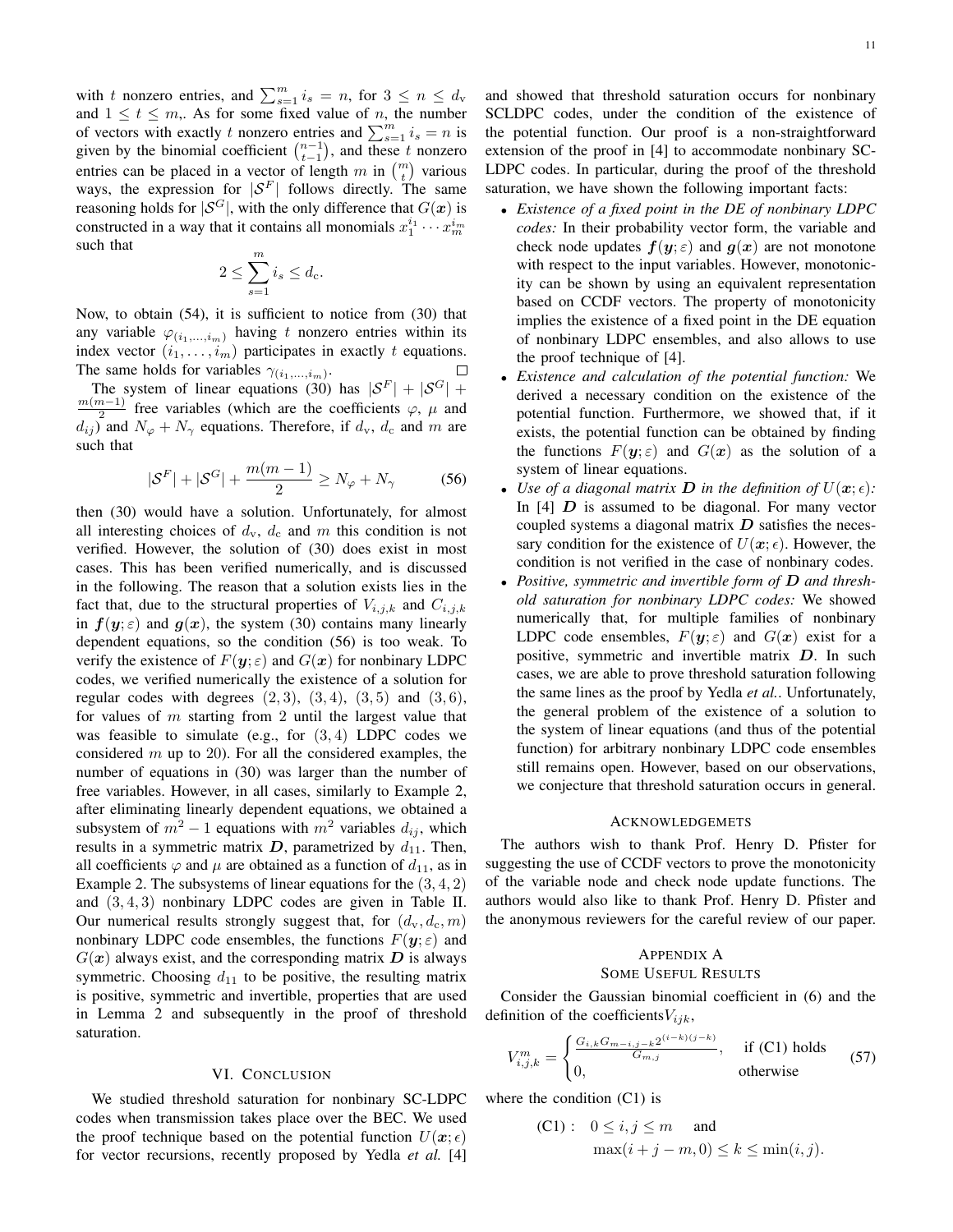with t nonzero entries, and  $\sum_{s=1}^{m} i_s = n$ , for  $3 \leq n \leq d_v$ and  $1 \leq t \leq m$ , As for some fixed value of n, the number of vectors with exactly t nonzero entries and  $\sum_{s=1}^{m} i_s = n$  is given by the binomial coefficient  $\binom{n-1}{t-1}$ , and these t nonzero entries can be placed in a vector of length m in  $\binom{m}{t}$  various ways, the expression for  $|S^F|$  follows directly. The same reasoning holds for  $|S^G|$ , with the only difference that  $G(x)$  is constructed in a way that it contains all monomials  $x_1^{i_1} \cdots x_m^{i_m}$ such that

$$
2 \le \sum_{s=1}^m i_s \le d_{\rm c}.
$$

Now, to obtain (54), it is sufficient to notice from (30) that any variable  $\varphi_{(i_1,...,i_m)}$  having t nonzero entries within its index vector  $(i_1, \ldots, i_m)$  participates in exactly t equations. The same holds for variables  $\gamma_{(i_1,...,i_m)}$ .  $\Box$ 

The system of linear equations (30) has  $|S^F| + |S^G|$  +  $m(m-1)$  $\frac{n-1}{2}$  free variables (which are the coefficients  $\varphi$ ,  $\mu$  and  $d_{ij}$ ) and  $N_{\varphi} + N_{\gamma}$  equations. Therefore, if  $d_{\rm v}$ ,  $d_{\rm c}$  and m are such that

$$
|\mathcal{S}^F| + |\mathcal{S}^G| + \frac{m(m-1)}{2} \ge N_{\varphi} + N_{\gamma}
$$
 (56)

then (30) would have a solution. Unfortunately, for almost all interesting choices of  $d_v$ ,  $d_c$  and m this condition is not verified. However, the solution of (30) does exist in most cases. This has been verified numerically, and is discussed in the following. The reason that a solution exists lies in the fact that, due to the structural properties of  $V_{i,j,k}$  and  $C_{i,j,k}$ in  $f(y; \varepsilon)$  and  $g(x)$ , the system (30) contains many linearly dependent equations, so the condition (56) is too weak. To verify the existence of  $F(y; \varepsilon)$  and  $G(x)$  for nonbinary LDPC codes, we verified numerically the existence of a solution for regular codes with degrees  $(2, 3)$ ,  $(3, 4)$ ,  $(3, 5)$  and  $(3, 6)$ , for values of  $m$  starting from 2 until the largest value that was feasible to simulate (e.g., for  $(3, 4)$ ) LDPC codes we considered  $m$  up to 20). For all the considered examples, the number of equations in (30) was larger than the number of free variables. However, in all cases, similarly to Example 2, after eliminating linearly dependent equations, we obtained a subsystem of  $m^2 - 1$  equations with  $m^2$  variables  $d_{ij}$ , which results in a symmetric matrix  $D$ , parametrized by  $d_{11}$ . Then, all coefficients  $\varphi$  and  $\mu$  are obtained as a function of  $d_{11}$ , as in Example 2. The subsystems of linear equations for the  $(3, 4, 2)$ and (3, 4, 3) nonbinary LDPC codes are given in Table II. Our numerical results strongly suggest that, for  $(d_v, d_c, m)$ nonbinary LDPC code ensembles, the functions  $F(y; \varepsilon)$  and  $G(x)$  always exist, and the corresponding matrix  $D$  is always symmetric. Choosing  $d_{11}$  to be positive, the resulting matrix is positive, symmetric and invertible, properties that are used in Lemma 2 and subsequently in the proof of threshold saturation.

#### VI. CONCLUSION

We studied threshold saturation for nonbinary SC-LDPC codes when transmission takes place over the BEC. We used the proof technique based on the potential function  $U(x; \epsilon)$ for vector recursions, recently proposed by Yedla *et al.* [4] and showed that threshold saturation occurs for nonbinary SCLDPC codes, under the condition of the existence of the potential function. Our proof is a non-straightforward extension of the proof in [4] to accommodate nonbinary SC-LDPC codes. In particular, during the proof of the threshold saturation, we have shown the following important facts:

- *Existence of a fixed point in the DE of nonbinary LDPC codes:* In their probability vector form, the variable and check node updates  $f(y; \varepsilon)$  and  $g(x)$  are not monotone with respect to the input variables. However, monotonicity can be shown by using an equivalent representation based on CCDF vectors. The property of monotonicity implies the existence of a fixed point in the DE equation of nonbinary LDPC ensembles, and also allows to use the proof technique of [4].
- *Existence and calculation of the potential function:* We derived a necessary condition on the existence of the potential function. Furthermore, we showed that, if it exists, the potential function can be obtained by finding the functions  $F(y; \varepsilon)$  and  $G(x)$  as the solution of a system of linear equations.
- Use of a diagonal matrix **D** in the definition of  $U(\mathbf{x}; \epsilon)$ : In  $[4]$  D is assumed to be diagonal. For many vector coupled systems a diagonal matrix  $D$  satisfies the necessary condition for the existence of  $U(\mathbf{x}; \epsilon)$ . However, the condition is not verified in the case of nonbinary codes.
- *Positive, symmetric and invertible form of* D *and threshold saturation for nonbinary LDPC codes:* We showed numerically that, for multiple families of nonbinary LDPC code ensembles,  $F(y; \varepsilon)$  and  $G(x)$  exist for a positive, symmetric and invertible matrix D. In such cases, we are able to prove threshold saturation following the same lines as the proof by Yedla *et al.*. Unfortunately, the general problem of the existence of a solution to the system of linear equations (and thus of the potential function) for arbitrary nonbinary LDPC code ensembles still remains open. However, based on our observations, we conjecture that threshold saturation occurs in general.

#### ACKNOWLEDGEMETS

The authors wish to thank Prof. Henry D. Pfister for suggesting the use of CCDF vectors to prove the monotonicity of the variable node and check node update functions. The authors would also like to thank Prof. Henry D. Pfister and the anonymous reviewers for the careful review of our paper.

### APPENDIX A

#### SOME USEFUL RESULTS

Consider the Gaussian binomial coefficient in (6) and the definition of the coefficients $V_{ijk}$ ,

$$
V_{i,j,k}^{m} = \begin{cases} \frac{G_{i,k}G_{m-i,j-k}2^{(i-k)(j-k)}}{G_{m,j}}, & \text{if (C1) holds} \\ 0, & \text{otherwise} \end{cases}
$$
(57)

where the condition (C1) is

(C1): 
$$
0 \le i, j \le m
$$
 and  
\n
$$
\max(i+j-m, 0) \le k \le \min(i, j).
$$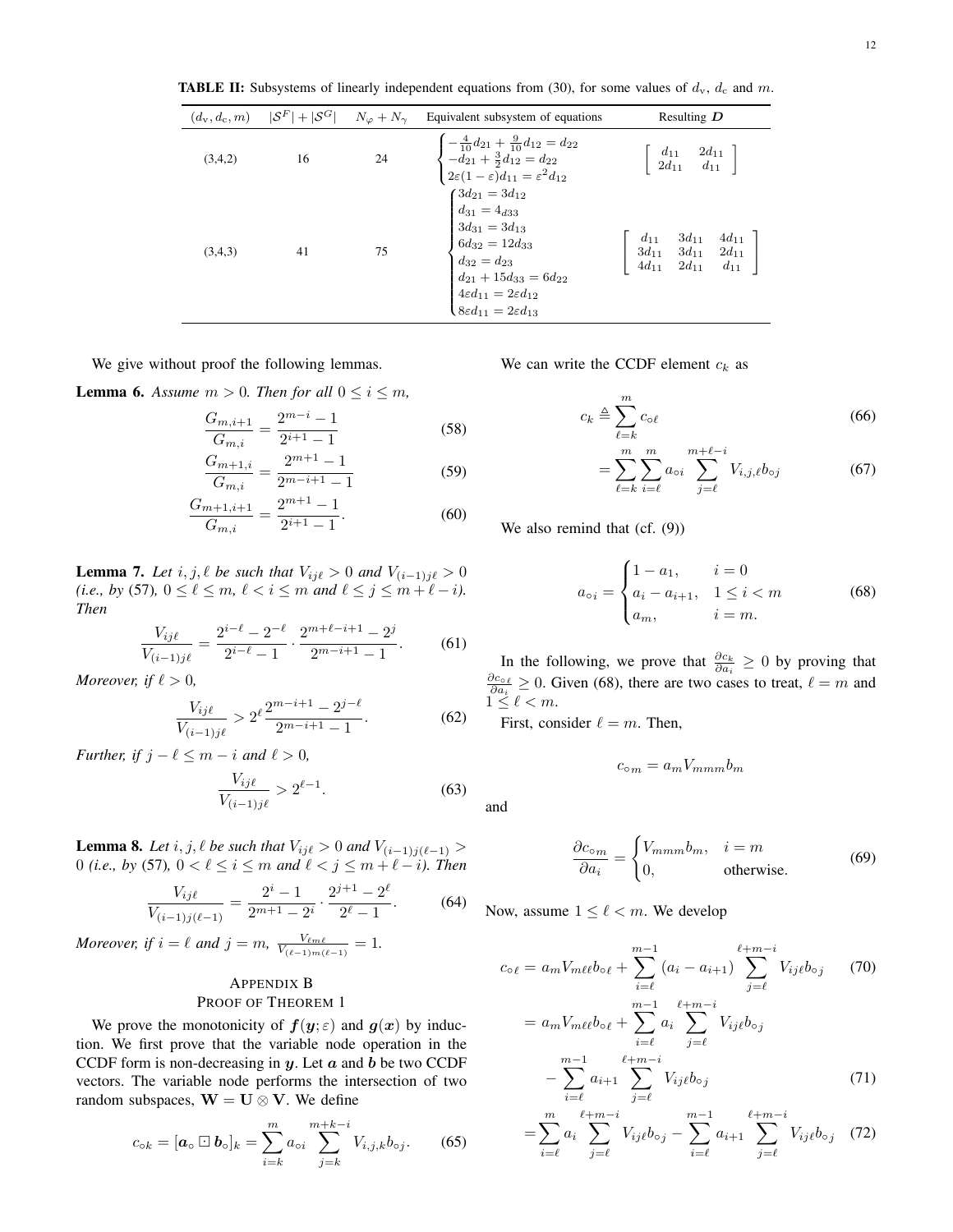**TABLE II:** Subsystems of linearly independent equations from (30), for some values of  $d_v$ ,  $d_c$  and m.

|         | $(d_v, d_c, m)$ $ \mathcal{S}^F  +  \mathcal{S}^G $ $N_\varphi + N_\gamma$ |    | Equivalent subsystem of equations                                                                                                                                                                                                                        | Resulting $D$                                                                                                                         |
|---------|----------------------------------------------------------------------------|----|----------------------------------------------------------------------------------------------------------------------------------------------------------------------------------------------------------------------------------------------------------|---------------------------------------------------------------------------------------------------------------------------------------|
| (3,4,2) | 16                                                                         | 24 | $\begin{cases}\n-\frac{4}{10}d_{21} + \frac{9}{10}d_{12} = d_{22} \\ -d_{21} + \frac{3}{2}d_{12} = d_{22} \\ 2\varepsilon(1-\varepsilon)d_{11} = \varepsilon^2d_{12}\n\end{cases}$                                                                       | $\left[\begin{array}{cc} d_{11} & 2d_{11} \\ 2d_{11} & d_{11} \end{array}\right]$                                                     |
| (3,4,3) | 41                                                                         | 75 | $\begin{cases} 3d_{21} = 3d_{12} \\ d_{31} = 4_{d33} \\ 3d_{31} = 3d_{13} \\ 6d_{32} = 12d_{33} \\ d_{32} = d_{23} \\ d_{21} + 15d_{33} = 6d_{22} \\ 4\varepsilon d_{11} = 2\varepsilon d_{12} \\ 8\varepsilon d_{11} = 2\varepsilon d_{13} \end{cases}$ | $\left[\begin{array}{ccc} d_{11} & 3d_{11} & 4d_{11} \\ 3d_{11} & 3d_{11} & 2d_{11} \\ 4d_{11} & 2d_{11} & d_{11} \end{array}\right]$ |

We give without proof the following lemmas.

**Lemma 6.** Assume  $m > 0$ . Then for all  $0 \le i \le m$ ,

$$
\frac{G_{m,i+1}}{G_{m,i}} = \frac{2^{m-i}-1}{2^{i+1}-1}
$$
\n(58)

$$
\frac{G_{m+1,i}}{G_{m,i}} = \frac{2^{m+1}-1}{2^{m-i+1}-1}
$$
(59)

$$
\frac{G_{m+1,i+1}}{G_{m,i}} = \frac{2^{m+1} - 1}{2^{i+1} - 1}.
$$
 (60)

**Lemma 7.** Let  $i, j, \ell$  be such that  $V_{ij\ell} > 0$  and  $V_{(i-1)j\ell} > 0$ *(i.e., by (57),*  $0 \leq \ell \leq m$ ,  $\ell < i \leq m$  and  $\ell \leq j \leq m + \ell - i$ ). *Then*

$$
\frac{V_{ij\ell}}{V_{(i-1)j\ell}} = \frac{2^{i-\ell} - 2^{-\ell}}{2^{i-\ell} - 1} \cdot \frac{2^{m+\ell-i+1} - 2^j}{2^{m-i+1} - 1}.
$$
 (61)

*Moreover, if*  $\ell > 0$ *,* 

$$
\frac{V_{ij\ell}}{V_{(i-1)j\ell}} > 2^{\ell} \frac{2^{m-i+1} - 2^{j-\ell}}{2^{m-i+1} - 1}.
$$
 (62)

*Further, if*  $j - \ell \leq m - i$  *and*  $\ell > 0$ *,* 

$$
\frac{V_{ij\ell}}{V_{(i-1)j\ell}} > 2^{\ell-1}.
$$
 (63)

**Lemma 8.** *Let*  $i, j, \ell$  *be such that*  $V_{ij\ell} > 0$  *and*  $V_{(i-1)j(\ell-1)} >$ 0 *(i.e., by (57),*  $0 < \ell \leq i \leq m$  and  $\ell < j \leq m + \ell - i$ ). Then

$$
\frac{V_{ij\ell}}{V_{(i-1)j(\ell-1)}} = \frac{2^i - 1}{2^{m+1} - 2^i} \cdot \frac{2^{j+1} - 2^{\ell}}{2^{\ell} - 1}.
$$
 (64)

*Moreover, if*  $i = \ell$  *and*  $j = m$ ,  $\frac{V_{\ell m \ell}}{V_{(\ell-1)m(\ell-1)}} = 1$ .

#### APPENDIX B PROOF OF THEOREM 1

We prove the monotonicity of  $f(y; \varepsilon)$  and  $g(x)$  by induction. We first prove that the variable node operation in the CCDF form is non-decreasing in  $y$ . Let  $a$  and  $b$  be two CCDF vectors. The variable node performs the intersection of two random subspaces,  $W = U \otimes V$ . We define

$$
c_{\circ k} = [\mathbf{a}_{\circ} \boxdot \mathbf{b}_{\circ}]_k = \sum_{i=k}^m a_{\circ i} \sum_{j=k}^{m+k-i} V_{i,j,k} b_{\circ j}.
$$
 (65)

We can write the CCDF element  $c_k$  as

$$
c_k \triangleq \sum_{\ell=k}^m c_{\circ \ell} \tag{66}
$$

$$
= \sum_{\ell=k}^{m} \sum_{i=\ell}^{m} a_{\circ i} \sum_{j=\ell}^{m+\ell-i} V_{i,j,\ell} b_{\circ j}
$$
 (67)

We also remind that (cf.  $(9)$ )

$$
a_{\circ i} = \begin{cases} 1 - a_1, & i = 0 \\ a_i - a_{i+1}, & 1 \le i < m \\ a_m, & i = m. \end{cases} \tag{68}
$$

In the following, we prove that  $\frac{\partial c_k}{\partial a_i} \geq 0$  by proving that  $\frac{\partial c_{\circ \ell}}{\partial a_i} \geq 0$ . Given (68), there are two cases to treat,  $\ell = m$  and  $1 \leq \ell < m$ .

First, consider  $\ell = m$ . Then,

$$
c_{\circ m} = a_m V_{mmm} b_m
$$

and

$$
\frac{\partial c_{\text{o}_m}}{\partial a_i} = \begin{cases} V_{mmm}b_m, & i = m\\ 0, & \text{otherwise.} \end{cases}
$$
(69)

Now, assume  $1 \leq \ell < m$ . We develop

$$
c_{\circ \ell} = a_m V_{m\ell\ell} b_{\circ \ell} + \sum_{i=\ell}^{m-1} (a_i - a_{i+1}) \sum_{j=\ell}^{\ell+m-i} V_{ij\ell} b_{\circ j} \qquad (70)
$$
  

$$
= a_m V_{m\ell\ell} b_{\circ \ell} + \sum_{i=\ell}^{m-1} a_i \sum_{j=\ell}^{\ell+m-i} V_{ij\ell} b_{\circ j}
$$
  

$$
- \sum_{i=\ell}^{m-1} a_{i+1} \sum_{j=\ell}^{\ell+m-i} V_{ij\ell} b_{\circ j} \qquad (71)
$$

$$
= \sum_{i=\ell}^{m} a_i \sum_{j=\ell}^{\ell+m-i} V_{ij\ell} b_{\circ j} - \sum_{i=\ell}^{m-1} a_{i+1} \sum_{j=\ell}^{\ell+m-i} V_{ij\ell} b_{\circ j} \quad (72)
$$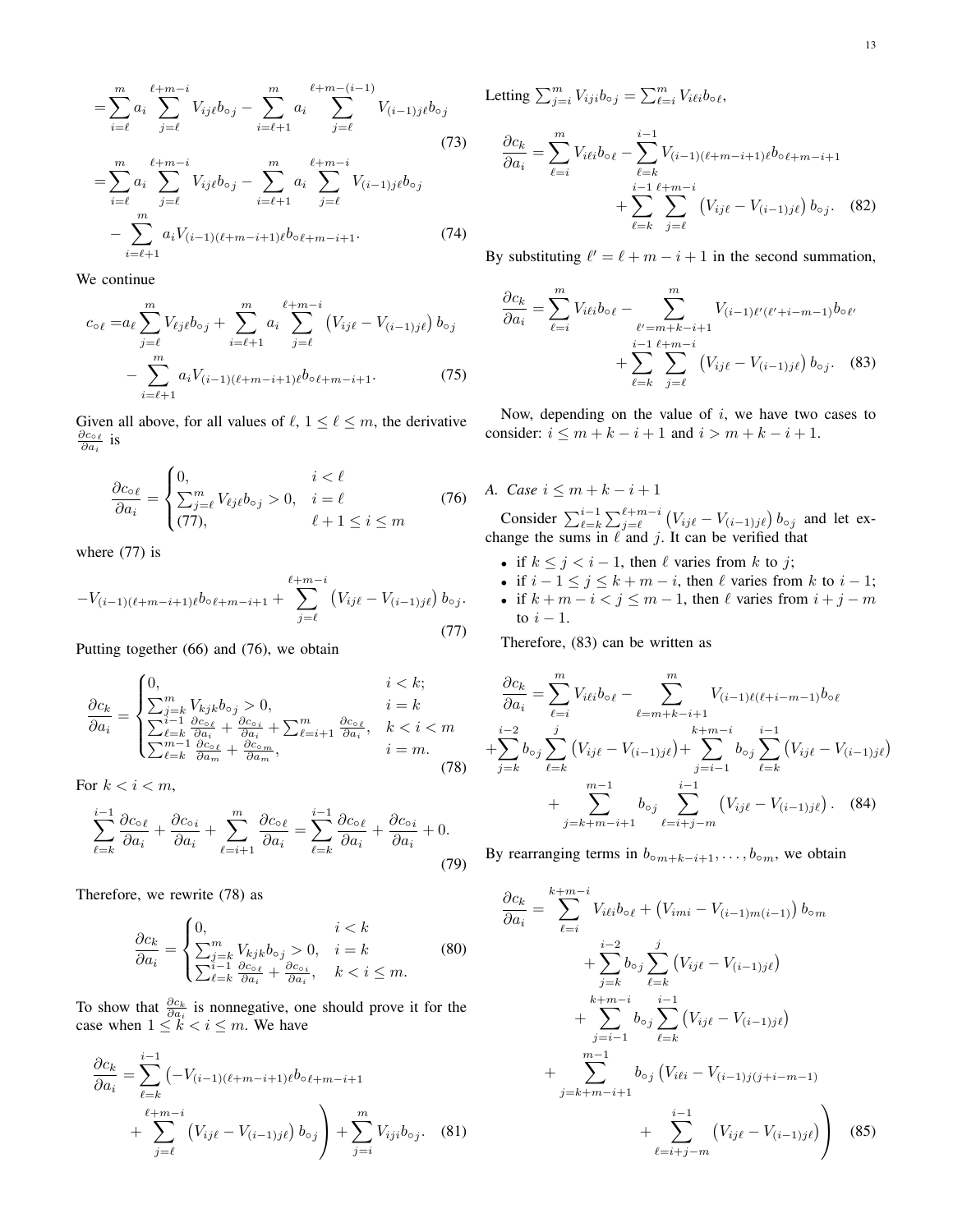$$
= \sum_{i=\ell}^{m} a_i \sum_{j=\ell}^{\ell+m-i} V_{ij\ell} b_{\circ j} - \sum_{i=\ell+1}^{m} a_i \sum_{j=\ell}^{\ell+m-(i-1)} V_{(i-1)j\ell} b_{\circ j}
$$
  

$$
= \sum_{i=\ell}^{m} a_i \sum_{j=\ell}^{\ell+m-i} V_{ij\ell} b_{\circ j} - \sum_{i=\ell+1}^{m} a_i \sum_{j=\ell}^{\ell+m-i} V_{(i-1)j\ell} b_{\circ j}
$$
 (73)

$$
-\sum_{i=\ell+1}^{m} a_i V_{(i-1)(\ell+m-i+1)\ell} b_{\circ \ell+m-i+1}.
$$
 (74)

We continue

$$
c_{\circ\ell} = a_{\ell} \sum_{j=\ell}^{m} V_{\ell j\ell} b_{\circ j} + \sum_{i=\ell+1}^{m} a_i \sum_{j=\ell}^{\ell+m-i} (V_{ij\ell} - V_{(i-1)j\ell}) b_{\circ j} - \sum_{i=\ell+1}^{m} a_i V_{(i-1)(\ell+m-i+1)\ell} b_{\circ \ell+m-i+1}.
$$
 (75)

Given all above, for all values of  $\ell$ ,  $1 \leq \ell \leq m$ , the derivative  $\frac{\partial c_{\circ \ell}}{\partial a_i}$  is

$$
\frac{\partial c_{\circ \ell}}{\partial a_i} = \begin{cases} 0, & i < \ell \\ \sum_{j=\ell}^m V_{\ell j \ell} b_{\circ j} > 0, & i = \ell \\ (77), & \ell+1 \le i \le m \end{cases}
$$
(76)

where  $(77)$  is

$$
-V_{(i-1)(\ell+m-i+1)\ell}b_{\circ\ell+m-i+1} + \sum_{j=\ell}^{\ell+m-i} (V_{ij\ell} - V_{(i-1)j\ell}) b_{\circ j}.
$$
\n(77)

Putting together (66) and (76), we obtain

$$
\frac{\partial c_k}{\partial a_i} = \begin{cases}\n0, & i < k; \\
\sum_{j=k}^m V_{kjk} b_{oj} > 0, & i = k \\
\sum_{\substack{\ell=1 \ \ell \leq k \ \partial a_i}}^{i-1} \frac{\partial c_{oj}}{\partial a_i} + \frac{\partial c_{oj}}{\partial a_i} + \sum_{\substack{\ell=1 \ \ell \leq k \ \partial a_i}}^{m} & k < i < m \\
\sum_{\substack{\ell=k \ \partial a_m}}^{m-1} \frac{\partial c_{oj}}{\partial a_m} + \frac{\partial c_{oj}}{\partial a_m}, & i = m.\n\end{cases}
$$
\n(78)

For  $k < i < m$ ,

$$
\sum_{\ell=k}^{i-1} \frac{\partial c_{\circ \ell}}{\partial a_i} + \frac{\partial c_{\circ i}}{\partial a_i} + \sum_{\ell=i+1}^m \frac{\partial c_{\circ \ell}}{\partial a_i} = \sum_{\ell=k}^{i-1} \frac{\partial c_{\circ \ell}}{\partial a_i} + \frac{\partial c_{\circ i}}{\partial a_i} + 0.
$$
\n(79)

Therefore, we rewrite (78) as

$$
\frac{\partial c_k}{\partial a_i} = \begin{cases} 0, & i < k\\ \sum_{\substack{j=k \ j \leq k}}^m V_{kjk} b_{\circ j} > 0, & i = k\\ \sum_{\substack{\ell=1 \ \ell \leq k}}^m \frac{\partial c_{\circ \ell}}{\partial a_i} + \frac{\partial c_{\circ i}}{\partial a_i}, & k < i \leq m. \end{cases}
$$
(80)

To show that  $\frac{\partial c_k}{\partial a_i}$  is nonnegative, one should prove it for the case when  $1 \leq k < i \leq m$ . We have

$$
\frac{\partial c_k}{\partial a_i} = \sum_{\ell=k}^{i-1} \left( -V_{(i-1)(\ell+m-i+1)\ell} b_{\circ \ell+m-i+1} + \sum_{j=\ell}^{\ell+m-i} \left( V_{ij\ell} - V_{(i-1)j\ell} \right) b_{\circ j} \right) + \sum_{j=i}^m V_{iji} b_{\circ j}.
$$
 (81)

Letting  $\sum_{j=i}^{m} V_{iji} b_{\circ j} = \sum_{\ell=i}^{m} V_{i\ell i} b_{\circ \ell}$ ,

$$
\frac{\partial c_k}{\partial a_i} = \sum_{\ell=i}^m V_{i\ell i} b_{\circ \ell} - \sum_{\ell=k}^{i-1} V_{(i-1)(\ell+m-i+1)\ell} b_{\circ \ell+m-i+1} + \sum_{\ell=k}^{i-1} \sum_{j=\ell}^{\ell+m-i} (V_{i j \ell} - V_{(i-1) j \ell}) b_{\circ j}. \tag{82}
$$

By substituting  $\ell' = \ell + m - i + 1$  in the second summation,

$$
\frac{\partial c_k}{\partial a_i} = \sum_{\ell=i}^m V_{i\ell i} b_{\circ \ell} - \sum_{\substack{\ell'=m+k-i+1 \ k-i+1}}^m V_{(i-1)\ell'(\ell'+i-m-1)} b_{\circ \ell'} + \sum_{\ell=k}^{i-1} \sum_{j=\ell}^{\ell+m-i} (V_{i j \ell} - V_{(i-1) j \ell}) b_{\circ j}. \tag{83}
$$

Now, depending on the value of  $i$ , we have two cases to consider:  $i \le m + k - i + 1$  and  $i > m + k - i + 1$ .

#### *A. Case*  $i \leq m + k - i + 1$

Consider  $\sum_{\ell=k}^{i-1} \sum_{j=\ell}^{\ell+m-i} (V_{ij\ell} - V_{(i-1)j\ell}) b_{\circ j}$  and let exchange the sums in  $\ell$  and j. It can be verified that

- if  $k \leq j < i 1$ , then  $\ell$  varies from k to j;
- if  $i 1 \le j \le k + m i$ , then  $\ell$  varies from k to  $i 1$ ;
- if  $k + m i < j \le m 1$ , then  $\ell$  varies from  $i + j m$ to  $i - 1$ .

Therefore, (83) can be written as

$$
\frac{\partial c_k}{\partial a_i} = \sum_{\ell=i}^m V_{i\ell i} b_{o\ell} - \sum_{\ell=m+k-i+1}^m V_{(i-1)\ell(\ell+i-m-1)} b_{o\ell}
$$
  
+
$$
\sum_{j=k}^{i-2} b_{oj} \sum_{\ell=k}^j (V_{ij\ell} - V_{(i-1)j\ell}) + \sum_{j=i-1}^{k+m-i} b_{oj} \sum_{\ell=k}^{i-1} (V_{ij\ell} - V_{(i-1)j\ell})
$$
  
+
$$
\sum_{j=k+m-i+1}^{m-1} b_{oj} \sum_{\ell=i+j-m}^{i-1} (V_{ij\ell} - V_{(i-1)j\ell}).
$$
 (84)

By rearranging terms in  $b_{\text{o}m+k-i+1}, \ldots, b_{\text{o}m}$ , we obtain

$$
\frac{\partial c_k}{\partial a_i} = \sum_{\ell=i}^{k+m-i} V_{i\ell i} b_{\circ \ell} + (V_{imi} - V_{(i-1)m(i-1)}) b_{\circ m} \n+ \sum_{j=k}^{i-2} b_{\circ j} \sum_{\ell=k}^{j} (V_{ij\ell} - V_{(i-1)j\ell}) \n+ \sum_{j=i-1}^{k+m-i} b_{\circ j} \sum_{\ell=k}^{i-1} (V_{ij\ell} - V_{(i-1)j\ell}) \n+ \sum_{j=k+m-i+1}^{m-1} b_{\circ j} (V_{i\ell i} - V_{(i-1)j(j+i-m-1)} \n+ \sum_{\ell=i+j-m}^{i-1} (V_{ij\ell} - V_{(i-1)j\ell}) \qquad (85)
$$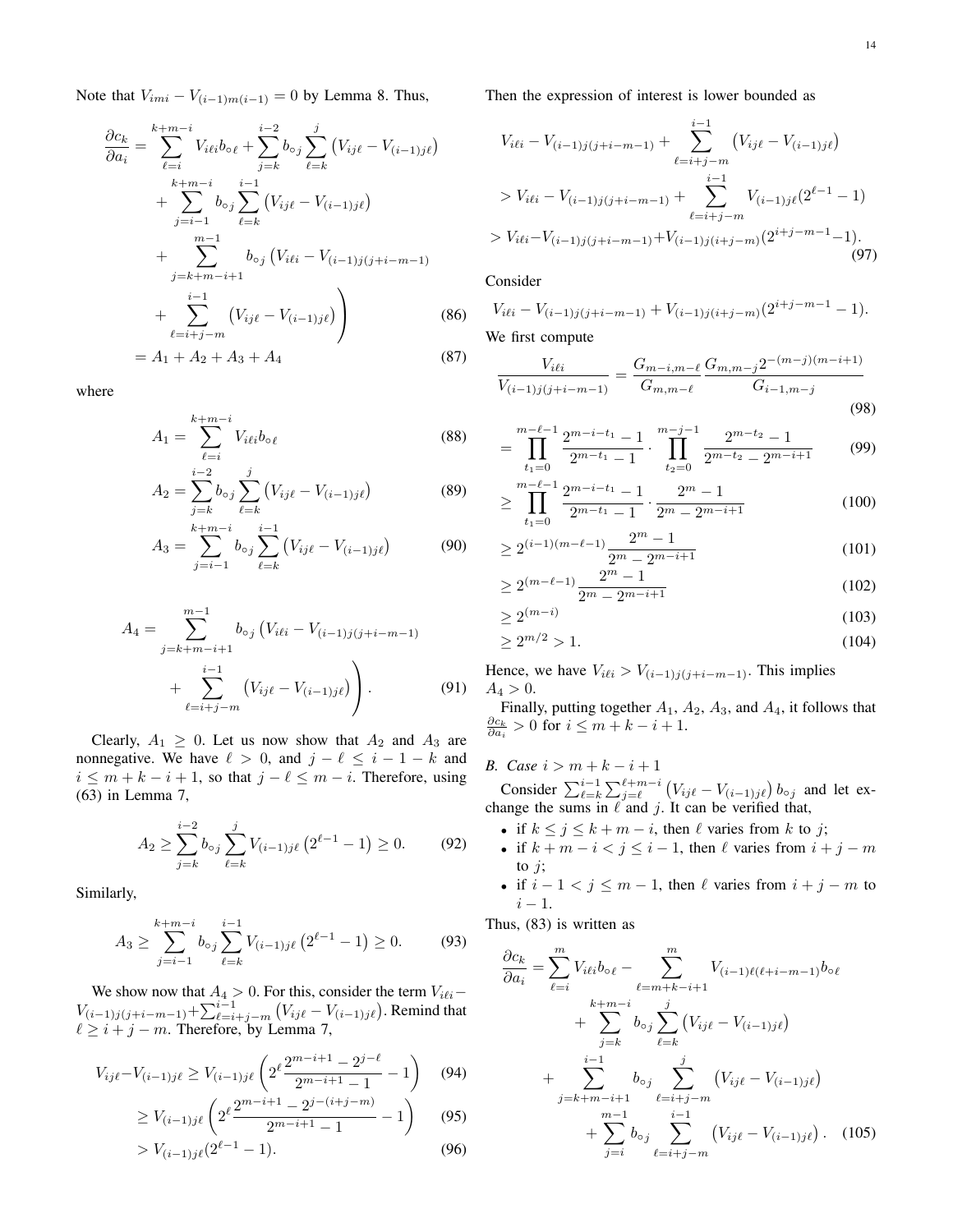Note that  $V_{imi} - V_{(i-1)m(i-1)} = 0$  by Lemma 8. Thus,

$$
\frac{\partial c_k}{\partial a_i} = \sum_{\ell=i}^{k+m-i} V_{i\ell i} b_{\circ \ell} + \sum_{j=k}^{i-2} b_{\circ j} \sum_{\ell=k}^{j} (V_{ij\ell} - V_{(i-1)j\ell}) + \sum_{j=i-1}^{k+m-i} b_{\circ j} \sum_{\ell=k}^{i-1} (V_{ij\ell} - V_{(i-1)j\ell}) + \sum_{\substack{m-1 \ j=k+m-i+1}}^{m-1} b_{\circ j} (V_{i\ell i} - V_{(i-1)j(j+i-m-1)}) + \sum_{\ell=i+j-m}^{i-1} (V_{ij\ell} - V_{(i-1)j\ell}) \qquad (86)
$$

$$
= A_1 + A_2 + A_3 + A_4 \tag{87}
$$

where

$$
A_1 = \sum_{\ell=i}^{k+m-i} V_{i\ell i} b_{\circ \ell} \tag{88}
$$

$$
A_2 = \sum_{j=k}^{i-2} b_{\circ j} \sum_{\ell=k}^{j} (V_{ij\ell} - V_{(i-1)j\ell})
$$
(89)

$$
A_3 = \sum_{j=i-1}^{k+m-i} b_{\circ j} \sum_{\ell=k}^{i-1} (V_{ij\ell} - V_{(i-1)j\ell})
$$
(90)

$$
A_4 = \sum_{j=k+m-i+1}^{m-1} b_{\circ j} \left( V_{i\ell i} - V_{(i-1)j(j+i-m-1)} \right) + \sum_{\ell=i+j-m}^{i-1} \left( V_{i j\ell} - V_{(i-1)j\ell} \right) \quad (91)
$$

Clearly,  $A_1 \geq 0$ . Let us now show that  $A_2$  and  $A_3$  are nonnegative. We have  $\ell > 0$ , and  $j - \ell \leq i - 1 - k$  and  $i \leq m + k - i + 1$ , so that  $j - \ell \leq m - i$ . Therefore, using (63) in Lemma 7,

$$
A_2 \ge \sum_{j=k}^{i-2} b_{\circ j} \sum_{\ell=k}^j V_{(i-1)j\ell} \left( 2^{\ell-1} - 1 \right) \ge 0. \tag{92}
$$

Similarly,

$$
A_3 \ge \sum_{j=i-1}^{k+m-i} b_{\circ j} \sum_{\ell=k}^{i-1} V_{(i-1)j\ell} \left( 2^{\ell-1} - 1 \right) \ge 0. \tag{93}
$$

We show now that  $A_4 > 0$ . For this, consider the term  $V_{i\ell i}$ −  $V_{(i-1)j(j+i-m-1)} + \sum_{\ell=i+j-m}^{i-1} (V_{ij\ell} - V_{(i-1)j\ell}).$  Remind that  $\ell \geq i + j - m$ . Therefore, by Lemma 7,

$$
V_{ij\ell} - V_{(i-1)j\ell} \ge V_{(i-1)j\ell} \left( 2^{\ell} \frac{2^{m-i+1} - 2^{j-\ell}}{2^{m-i+1} - 1} - 1 \right) \tag{94}
$$

$$
\geq V_{(i-1)j\ell} \left( 2^{\ell} \frac{2^{m-i+1} - 2^{j-(i+j-m)}}{2^{m-i+1} - 1} - 1 \right) \tag{95}
$$

$$
> V_{(i-1)j\ell}(2^{\ell-1} - 1). \tag{96}
$$

Then the expression of interest is lower bounded as

$$
V_{i\ell i} - V_{(i-1)j(j+i-m-1)} + \sum_{\ell=i+j-m}^{i-1} (V_{ij\ell} - V_{(i-1)j\ell})
$$
  
>  $V_{i\ell i} - V_{(i-1)j(j+i-m-1)} + \sum_{\ell=i+j-m}^{i-1} V_{(i-1)j\ell}(2^{\ell-1} - 1)$   
>  $V_{i\ell i} - V_{(i-1)j(j+i-m-1)} + V_{(i-1)j(i+j-m)}(2^{i+j-m-1} - 1).$  (97)

Consider

$$
V_{i\ell i} - V_{(i-1)j(j+i-m-1)} + V_{(i-1)j(i+j-m)}(2^{i+j-m-1} - 1).
$$

We first compute

$$
\frac{V_{i\ell i}}{V_{(i-1)j(j+i-m-1)}} = \frac{G_{m-i,m-\ell}}{G_{m,m-\ell}} \frac{G_{m,m-j} 2^{-(m-j)(m-i+1)}}{G_{i-1,m-j}}
$$
(98)

$$
= \prod_{t_1=0}^{m-\ell-1} \frac{2^{m-i-t_1}-1}{2^{m-t_1}-1} \cdot \prod_{t_2=0}^{m-j-1} \frac{2^{m-t_2}-1}{2^{m-t_2}-2^{m-i+1}} \tag{99}
$$

$$
\geq \prod_{t_1=0}^{m-\ell-1} \frac{2^{m-i-t_1}-1}{2^{m-t_1}-1} \cdot \frac{2^m-1}{2^m-2^{m-i+1}} \tag{100}
$$

$$
\geq 2^{(i-1)(m-\ell-1)} \frac{2^m - 1}{2^m - 2^{m-i+1}} \tag{101}
$$

$$
\geq 2^{(m-\ell-1)} \frac{2^m - 1}{2^m - 2^{m-i+1}} \tag{102}
$$

$$
\geq 2^{(m-i)}\tag{103}
$$

$$
\geq 2^{m/2} > 1. \tag{104}
$$

Hence, we have  $V_{i\ell i} > V_{(i-1)j(j+i-m-1)}$ . This implies  $A_4 > 0.$ 

Finally, putting together  $A_1$ ,  $A_2$ ,  $A_3$ , and  $A_4$ , it follows that  $\frac{\partial c_k}{\partial a_i} > 0$  for  $i \leq m + k - i + 1$ .

*B. Case*  $i > m + k - i + 1$ 

Consider  $\sum_{\ell=k}^{i-1} \sum_{j=\ell}^{\ell+m-i} (V_{ij\ell} - V_{(i-1)j\ell}) b_{\circ j}$  and let exchange the sums in  $\ell$  and j. It can be verified that,

- if  $k \le j \le k + m i$ , then  $\ell$  varies from k to j;
- if  $k + m i < j \le i 1$ , then  $\ell$  varies from  $i + j m$ to  $j$ ;
- if  $i 1 < j \le m 1$ , then  $\ell$  varies from  $i + j m$  to  $i-1$ .

Thus, (83) is written as

$$
\frac{\partial c_k}{\partial a_i} = \sum_{\ell=i}^m V_{i\ell i} b_{\circ \ell} - \sum_{\ell=m+k-i+1}^m V_{(i-1)\ell(\ell+i-m-1)} b_{\circ \ell} \n+ \sum_{j=k}^{k+m-i} b_{\circ j} \sum_{\ell=k}^j (V_{ij\ell} - V_{(i-1)j\ell}) \n+ \sum_{j=k+m-i+1}^{i-1} b_{\circ j} \sum_{\ell=i+j-m}^j (V_{ij\ell} - V_{(i-1)j\ell}) \n+ \sum_{j=i}^{m-1} b_{\circ j} \sum_{\ell=i+j-m}^{i-1} (V_{ij\ell} - V_{(i-1)j\ell}). \quad (105)
$$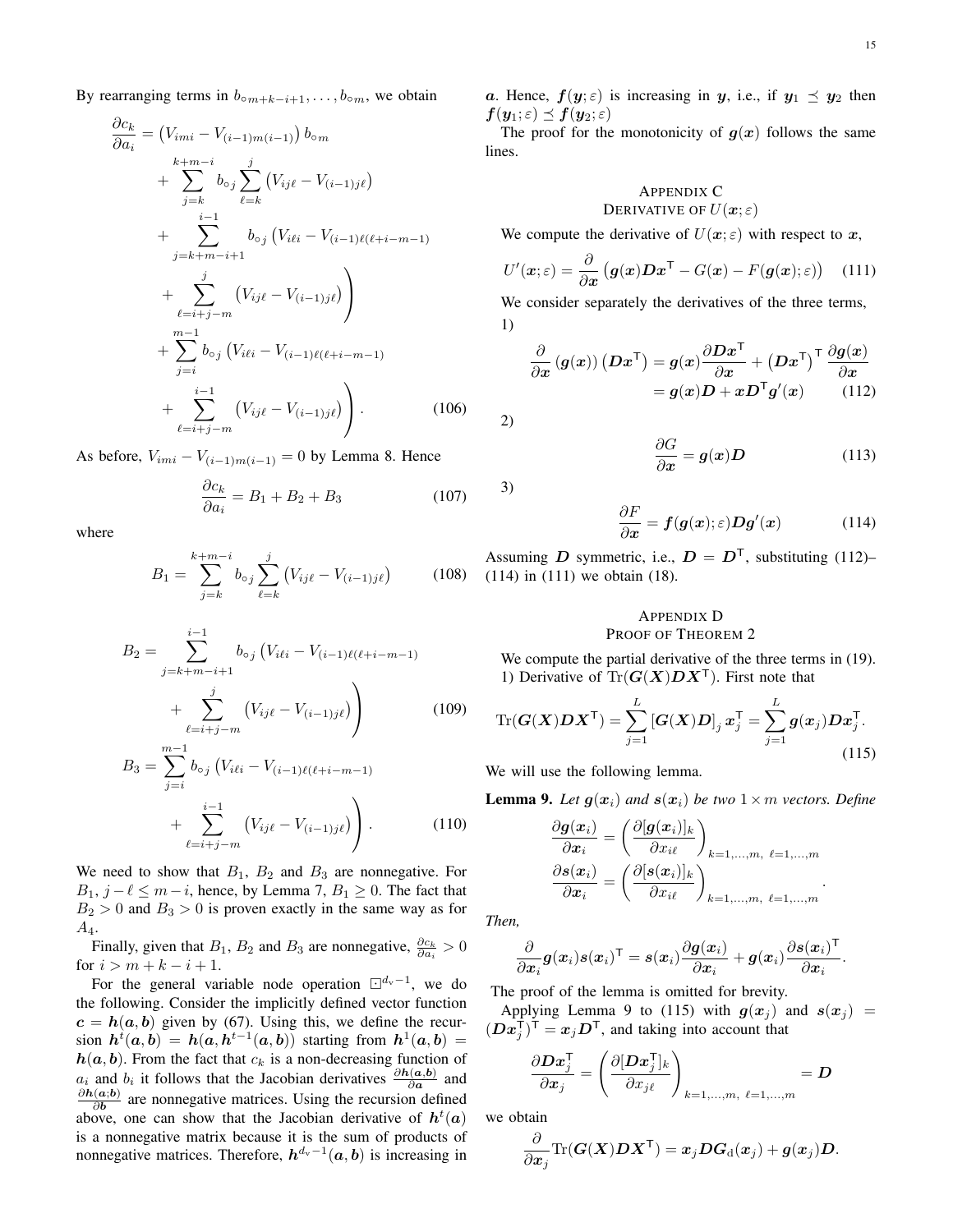By rearranging terms in  $b_{\text{o}m+k-i+1}, \ldots, b_{\text{o}m}$ , we obtain

$$
\frac{\partial c_k}{\partial a_i} = (V_{imi} - V_{(i-1)m(i-1)}) b_{\circ m} \n+ \sum_{j=k}^{k+m-i} b_{\circ j} \sum_{\ell=k}^{j} (V_{ij\ell} - V_{(i-1)j\ell}) \n+ \sum_{j=k+m-i+1}^{i-1} b_{\circ j} (V_{i\ell i} - V_{(i-1)\ell(\ell+i-m-1)} \n+ \sum_{\ell=i+j-m}^{j} (V_{ij\ell} - V_{(i-1)j\ell}) \n+ \sum_{\ell=i+j-m}^{m-1} b_{\circ j} (V_{i\ell i} - V_{(i-1)\ell(\ell+i-m-1)} \n+ \sum_{j=i}^{i-1} b_{\circ j} (V_{i\ell i} - V_{(i-1)j\ell}) . \tag{106}
$$

As before,  $V_{imi} - V_{(i-1)m(i-1)} = 0$  by Lemma 8. Hence

$$
\frac{\partial c_k}{\partial a_i} = B_1 + B_2 + B_3 \tag{107}
$$

where

$$
B_1 = \sum_{j=k}^{k+m-i} b_{\circ j} \sum_{\ell=k}^{j} (V_{ij\ell} - V_{(i-1)j\ell})
$$
 (108)

$$
B_2 = \sum_{j=k+m-i+1}^{i-1} b_{\circ j} \left( V_{i\ell i} - V_{(i-1)\ell(\ell+i-m-1)} \right)
$$
  
+ 
$$
\sum_{\ell=i+j-m}^{j} \left( V_{i j\ell} - V_{(i-1) j\ell} \right)
$$
  

$$
B_3 = \sum_{j}^{m-1} b_{\circ j} \left( V_{i\ell i} - V_{(i-1)\ell(\ell+i-m-1)} \right)
$$
(109)

$$
B = \sum_{j=i} b_{oj} (V_{i\ell i} - V_{(i-1)\ell(\ell+i-m-1)} + \sum_{\ell=i+j-m}^{i-1} (V_{i j\ell} - V_{(i-1) j\ell}) \Bigg). \tag{110}
$$

We need to show that  $B_1$ ,  $B_2$  and  $B_3$  are nonnegative. For  $B_1$ ,  $j - \ell \leq m - i$ , hence, by Lemma 7,  $B_1 \geq 0$ . The fact that  $B_2 > 0$  and  $B_3 > 0$  is proven exactly in the same way as for  $A_4$ .

Finally, given that  $B_1$ ,  $B_2$  and  $B_3$  are nonnegative,  $\frac{\partial c_k}{\partial a_i} > 0$ for  $i > m + k - i + 1$ .

For the general variable node operation  $\Box^{d_{\rm v}-1}$ , we do the following. Consider the implicitly defined vector function  $c = h(a, b)$  given by (67). Using this, we define the recursion  $h^t(a,b) = h(a,h^{t-1}(a,b))$  starting from  $h^1(a,b) =$  $h(a, b)$ . From the fact that  $c_k$  is a non-decreasing function of  $a_i$  and  $b_i$  it follows that the Jacobian derivatives  $\frac{\partial h(a,b)}{\partial a}$  and  $\partial \boldsymbol{h}(\boldsymbol{a};\boldsymbol{b})$  $\frac{\partial \mathbf{a}}{\partial \mathbf{b}}$  are nonnegative matrices. Using the recursion defined above, one can show that the Jacobian derivative of  $h^t(a)$ is a nonnegative matrix because it is the sum of products of nonnegative matrices. Therefore,  $h^{d_v-1}(a, b)$  is increasing in a. Hence,  $f(y; \varepsilon)$  is increasing in y, i.e., if  $y_1 \preceq y_2$  then  $f(\mathbf{y}_1;\varepsilon) \preceq f(\mathbf{y}_2;\varepsilon)$ 

The proof for the monotonicity of  $g(x)$  follows the same lines.

#### APPENDIX C DERIVATIVE OF  $U(\boldsymbol{x};\varepsilon)$

We compute the derivative of  $U(x; \varepsilon)$  with respect to x,

$$
U'(\boldsymbol{x};\varepsilon) = \frac{\partial}{\partial \boldsymbol{x}} \left( \boldsymbol{g}(\boldsymbol{x}) \boldsymbol{D} \boldsymbol{x}^{\mathsf{T}} - G(\boldsymbol{x}) - F(\boldsymbol{g}(\boldsymbol{x});\varepsilon) \right) \quad (111)
$$

We consider separately the derivatives of the three terms, 1)

$$
\frac{\partial}{\partial x} (g(x)) (D x^{\mathsf{T}}) = g(x) \frac{\partial D x^{\mathsf{T}}}{\partial x} + (D x^{\mathsf{T}})^{\mathsf{T}} \frac{\partial g(x)}{\partial x} \n= g(x) D + x D^{\mathsf{T}} g'(x)
$$
\n(112)

2)

3)

$$
\frac{\partial G}{\partial x} = g(x)D \tag{113}
$$

$$
f_{\rm{max}}
$$

$$
\frac{\partial F}{\partial x} = f(g(x);\varepsilon)Dg'(x) \tag{114}
$$

Assuming D symmetric, i.e.,  $D = D^{T}$ , substituting (112)– (114) in (111) we obtain (18).

#### APPENDIX D PROOF OF THEOREM 2

We compute the partial derivative of the three terms in (19). 1) Derivative of  $Tr(G(X)DX^{\top})$ . First note that

$$
\operatorname{Tr}(\boldsymbol{G}(\boldsymbol{X})\boldsymbol{D}\boldsymbol{X}^{\mathsf{T}})=\sum_{j=1}^{L}[\boldsymbol{G}(\boldsymbol{X})\boldsymbol{D}]_{j}\boldsymbol{x}_{j}^{\mathsf{T}}=\sum_{j=1}^{L}\boldsymbol{g}(\boldsymbol{x}_{j})\boldsymbol{D}\boldsymbol{x}_{j}^{\mathsf{T}}.\tag{115}
$$

We will use the following lemma.

**Lemma 9.** Let  $g(x_i)$  and  $s(x_i)$  be two  $1 \times m$  vectors. Define

$$
\frac{\partial \boldsymbol{g}(\boldsymbol{x}_i)}{\partial \boldsymbol{x}_i} = \left(\frac{\partial [\boldsymbol{g}(\boldsymbol{x}_i)]_k}{\partial x_{i\ell}}\right)_{k=1,\ldots,m, \ \ell=1,\ldots,m}
$$

$$
\frac{\partial \boldsymbol{s}(\boldsymbol{x}_i)}{\partial \boldsymbol{x}_i} = \left(\frac{\partial [\boldsymbol{s}(\boldsymbol{x}_i)]_k}{\partial x_{i\ell}}\right)_{k=1,\ldots,m, \ \ell=1,\ldots,m}.
$$

*Then,*

$$
\frac{\partial}{\partial x_i}\bm{g}(\bm{x}_i)\bm{s}(\bm{x}_i)^\mathsf{T} = \bm{s}(\bm{x}_i)\frac{\partial\bm{g}(\bm{x}_i)}{\partial\bm{x}_i} + \bm{g}(\bm{x}_i)\frac{\partial\bm{s}(\bm{x}_i)^\mathsf{T}}{\partial\bm{x}_i}.
$$

The proof of the lemma is omitted for brevity.

Applying Lemma 9 to (115) with  $g(x_i)$  and  $s(x_i)$  =  $(Dx_j^{\mathsf{T}})^{\mathsf{T}} = x_j D^{\mathsf{T}}$ , and taking into account that

$$
\frac{\partial \mathbf{D} \mathbf{x}_j^{\mathsf{T}}}{\partial \mathbf{x}_j} = \left( \frac{\partial [\mathbf{D} \mathbf{x}_j^{\mathsf{T}}]_k}{\partial x_{j\ell}} \right)_{k=1,\dots,m, \ \ell=1,\dots,m} = \mathbf{D}
$$

we obtain

$$
\frac{\partial}{\partial \boldsymbol{x}_j} \text{Tr}(\boldsymbol{G}(\boldsymbol{X}) \boldsymbol{D} \boldsymbol{X}^{\mathsf{T}}) = \boldsymbol{x}_j \boldsymbol{D} \boldsymbol{G}_{\text{d}}(\boldsymbol{x}_j) + \boldsymbol{g}(\boldsymbol{x}_j) \boldsymbol{D}.
$$